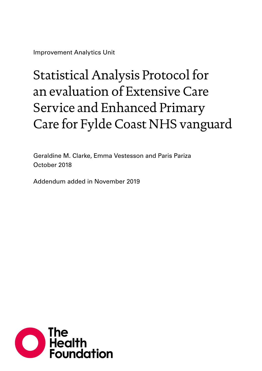Improvement Analytics Unit

# Statistical Analysis Protocol for an evaluation of Extensive Care Service and Enhanced Primary Care for Fylde Coast NHS vanguard

Geraldine M. Clarke, Emma Vestesson and Paris Pariza October 2018

Addendum added in November 2019

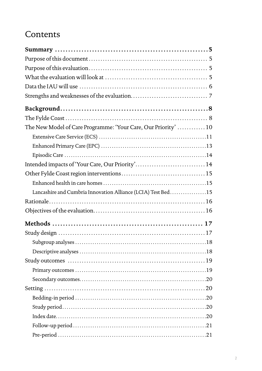### Contents

| The New Model of Care Programme: 'Your Care, Our Priority'  10 |      |
|----------------------------------------------------------------|------|
|                                                                |      |
|                                                                |      |
|                                                                |      |
| Intended impacts of 'Your Care, Our Priority' 14               |      |
|                                                                |      |
|                                                                |      |
| Lancashire and Cumbria Innovation Alliance (LCIA) Test Bed15   |      |
|                                                                |      |
|                                                                |      |
|                                                                |      |
|                                                                |      |
|                                                                |      |
|                                                                | . 18 |
|                                                                |      |
|                                                                |      |
|                                                                |      |
|                                                                |      |
|                                                                |      |
|                                                                |      |
|                                                                |      |
|                                                                |      |
|                                                                |      |
|                                                                |      |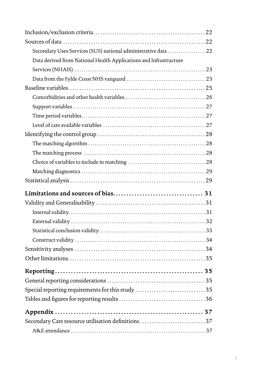| Secondary Uses Services (SUS) national administrative data 22     |  |
|-------------------------------------------------------------------|--|
| Data derived from National Health Applications and Infrastructure |  |
|                                                                   |  |
|                                                                   |  |
|                                                                   |  |
|                                                                   |  |
|                                                                   |  |
|                                                                   |  |
|                                                                   |  |
|                                                                   |  |
|                                                                   |  |
|                                                                   |  |
|                                                                   |  |
|                                                                   |  |
|                                                                   |  |
|                                                                   |  |
|                                                                   |  |
|                                                                   |  |
|                                                                   |  |
|                                                                   |  |
|                                                                   |  |
|                                                                   |  |
|                                                                   |  |
|                                                                   |  |
|                                                                   |  |
|                                                                   |  |
|                                                                   |  |
| Special reporting requirements for this study 35                  |  |
|                                                                   |  |
|                                                                   |  |
| Secondary Care resource utilisation definitions 37                |  |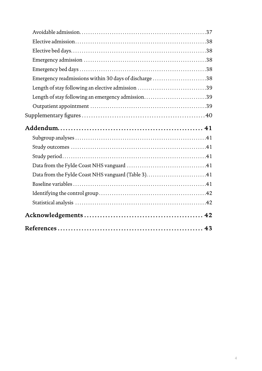| Emergency readmissions within 30 days of discharge 38 |  |
|-------------------------------------------------------|--|
| Length of stay following an elective admission 39     |  |
| Length of stay following an emergency admission39     |  |
|                                                       |  |
|                                                       |  |
|                                                       |  |
|                                                       |  |
|                                                       |  |
|                                                       |  |
|                                                       |  |
|                                                       |  |
| Data from the Fylde Coast NHS vanguard (Table 3)41    |  |
|                                                       |  |
|                                                       |  |
|                                                       |  |
|                                                       |  |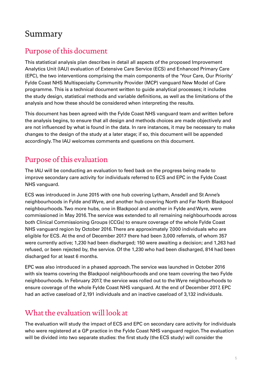### <span id="page-4-0"></span>Summary

### Purpose of this document

This statistical analysis plan describes in detail all aspects of the proposed Improvement Analytics Unit (IAU) evaluation of Extensive Care Service (ECS) and Enhanced Primary Care (EPC), the two interventions comprising the main components of the 'Your Care, Our Priority' Fylde Coast NHS Multispecialty Community Provider (MCP) vanguard New Model of Care programme. This is a technical document written to guide analytical processes; it includes the study design, statistical methods and variable definitions, as well as the limitations of the analysis and how these should be considered when interpreting the results.

This document has been agreed with the Fylde Coast NHS vanguard team and written before the analysis begins, to ensure that all design and methods choices are made objectively and are not influenced by what is found in the data. In rare instances, it may be necessary to make changes to the design of the study at a later stage; if so, this document will be appended accordingly. The IAU welcomes comments and questions on this document.

### Purpose of this evaluation

The IAU will be conducting an evaluation to feed back on the progress being made to improve secondary care activity for individuals referred to ECS and EPC in the Fylde Coast NHS vanguard.

ECS was introduced in June 2015 with one hub covering Lytham, Ansdell and St Anne's neighbourhoods in Fylde and Wyre, and another hub covering North and Far North Blackpool neighbourhoods. Two more hubs, one in Blackpool and another in Fylde and Wyre, were commissioned in May 2016. The service was extended to all remaining neighbourhoods across both Clinical Commissioning Groups (CCGs) to ensure coverage of the whole Fylde Coast NHS vanguard region by October 2016. There are approximately 7,000 individuals who are eligible for ECS. At the end of December 2017 there had been 3,000 referrals, of whom 357 were currently active; 1,230 had been discharged; 150 were awaiting a decision; and 1,263 had refused, or been rejected by, the service. Of the 1,230 who had been discharged, 814 had been discharged for at least 6 months.

EPC was also introduced in a phased approach. The service was launched in October 2016 with six teams covering the Blackpool neighbourhoods and one team covering the two Fylde neighbourhoods. In February 2017, the service was rolled out to the Wyre neighbourhoods to ensure coverage of the whole Fylde Coast NHS vanguard. At the end of December 2017, EPC had an active caseload of 2,191 individuals and an inactive caseload of 3,132 individuals.

### What the evaluation will look at

The evaluation will study the impact of ECS and EPC on secondary care activity for individuals who were registered at a GP practice in the Fylde Coast NHS vanguard region. The evaluation will be divided into two separate studies: the first study (the ECS study) will consider the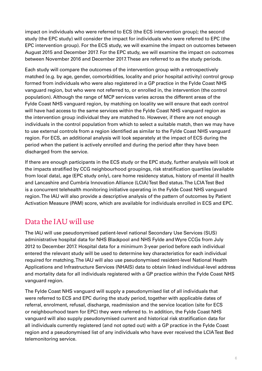<span id="page-5-0"></span>impact on individuals who were referred to ECS (the ECS intervention group); the second study (the EPC study) will consider the impact for individuals who were referred to EPC (the EPC intervention group). For the ECS study, we will examine the impact on outcomes between August 2015 and December 2017. For the EPC study, we will examine the impact on outcomes between November 2016 and December 2017. These are referred to as the study periods.

Each study will compare the outcomes of the intervention group with a retrospectively matched (e.g. by age, gender, comorbidities, locality and prior hospital activity) control group formed from individuals who were also registered in a GP practice in the Fylde Coast NHS vanguard region, but who were not referred to, or enrolled in, the intervention (the control population). Although the range of MCP services varies across the different areas of the Fylde Coast NHS vanguard region, by matching on locality we will ensure that each control will have had access to the same services within the Fylde Coast NHS vanguard region as the intervention group individual they are matched to. However, if there are not enough individuals in the control population from which to select a suitable match, then we may have to use external controls from a region identified as similar to the Fylde Coast NHS vanguard region. For ECS, an additional analysis will look separately at the impact of ECS during the period when the patient is actively enrolled and during the period after they have been discharged from the service.

If there are enough participants in the ECS study or the EPC study, further analysis will look at the impacts stratified by CCG neighbourhood groupings, risk stratification quartiles (available from local data), age (EPC study only), care home residency status, history of mental ill health and Lancashire and Cumbria Innovation Alliance (LCIA) Test Bed status. The LCIA Test Bed is a concurrent telehealth monitoring initiative operating in the Fylde Coast NHS vanguard region. The IAU will also provide a descriptive analysis of the pattern of outcomes by Patient Activation Measure (PAM) score, which are available for individuals enrolled in ECS and EPC.

### Data the IAU will use

The IAU will use pseudonymised patient-level national Secondary Use Services (SUS) administrative hospital data for NHS Blackpool and NHS Fylde and Wyre CCGs from July 2012 to December 2017. Hospital data for a minimum 3-year period before each individual entered the relevant study will be used to determine key characteristics for each individual required for matching. The IAU will also use pseudonymised resident-level National Health Applications and Infrastructure Services (NHAIS) data to obtain linked individual-level address and mortality data for all individuals registered with a GP practice within the Fylde Coast NHS vanguard region.

The Fylde Coast NHS vanguard will supply a pseudonymised list of all individuals that were referred to ECS and EPC during the study period, together with applicable dates of referral, enrolment, refusal, discharge, readmission and the service location (site for ECS or neighbourhood team for EPC) they were referred to. In addition, the Fylde Coast NHS vanguard will also supply pseudonymised current and historical risk stratification data for all individuals currently registered (and not opted out) with a GP practice in the Fylde Coast region and a pseudonymised list of any individuals who have ever received the LCIA Test Bed telemonitoring service.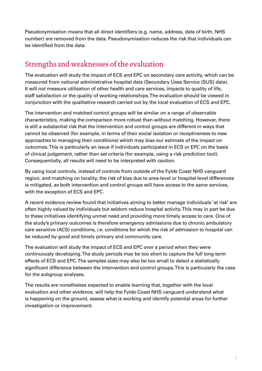<span id="page-6-0"></span>Pseudonymisation means that all direct identifiers (e.g. name, address, date of birth, NHS number) are removed from the data. Pseudonymisation reduces the risk that individuals can be identified from the data.

### Strengths and weaknesses of the evaluation

The evaluation will study the impact of ECS and EPC on secondary care activity, which can be measured from national administrative hospital data (Secondary Uses Service (SUS) data). It will not measure utilisation of other health and care services, impacts to quality of life, staff satisfaction or the quality of working relationships. The evaluation should be viewed in conjunction with the qualitative research carried out by the local evaluation of ECS and EPC.

The intervention and matched control groups will be similar on a range of observable characteristics, making the comparison more robust than without matching. However, there is still a substantial risk that the intervention and control groups are different in ways that cannot be observed (for example, in terms of their social isolation or receptiveness to new approaches to managing their conditions) which may bias our estimate of the impact on outcomes. This is particularly an issue if individuals participated in ECS or EPC on the basis of clinical judgement, rather than set criteria (for example, using a risk prediction tool). Consequentially, all results will need to be interpreted with caution.

By using local controls, instead of controls from outside of the Fylde Coast NHS vanguard region, and matching on locality, the risk of bias due to area-level or hospital-level differences is mitigated, as both intervention and control groups will have access to the same services, with the exception of ECS and EPC.

A recent evidence review found that initiatives aiming to better manage individuals 'at risk' are often highly valued by individuals but seldom reduce hospital activity. This may in part be due to these initiatives identifying unmet need and providing more timely access to care. One of the study's primary outcomes is therefore emergency admissions due to chronic ambulatory care sensitive (ACS) conditions, i.e. conditions for which the risk of admission to hospital can be reduced by good and timely primary and community care.

The evaluation will study the impact of ECS and EPC over a period when they were continuously developing. The study periods may be too short to capture the full long-term effects of ECS and EPC. The samples sizes may also be too small to detect a statistically significant difference between the intervention and control groups. This is particularly the case for the subgroup analyses.

The results are nonetheless expected to enable learning that, together with the local evaluation and other evidence, will help the Fylde Coast NHS vanguard understand what is happening on the ground, assess what is working and identify potential areas for further investigation or improvement.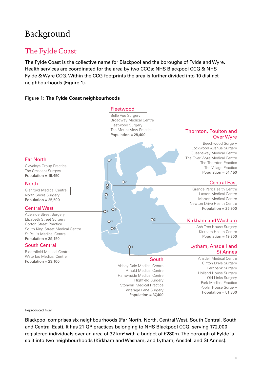# <span id="page-7-0"></span>Background

### The Fylde Coast

The Fylde Coast is the collective name for Blackpool and the boroughs of Fylde and Wyre. Health services are coordinated for the area by two CCGs: NHS Blackpool CCG & NHS Fylde & Wyre CCG. Within the CCG footprints the area is further divided into 10 distinct neighbourhoods (Figure 1).

#### **Figure 1: The Fylde Coast neighbourhoods**



Reproduced from<sup>[1](#page-42-1)</sup>

Blackpool comprises six neighbourhoods (Far North, North, Central West, South Central, South and Central East). It has 21 GP practices belonging to NHS Blackpool CCG, serving 172,000 registered individuals over an area of 32 km<sup>2</sup> with a budget of £280m. The borough of Fylde is split into two neighbourhoods (Kirkham and Wesham, and Lytham, Ansdell and St Annes).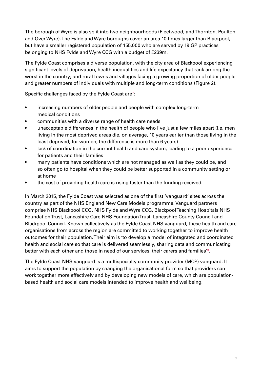The borough of Wyre is also split into two neighbourhoods (Fleetwood, and Thornton, Poulton and Over Wyre). The Fylde and Wyre boroughs cover an area 10 times larger than Blackpool, but have a smaller registered population of 155,000 who are served by 19 GP practices belonging to NHS Fylde and Wyre CCG with a budget of £239m.

The Fylde Coast comprises a diverse population, with the city area of Blackpool experiencing significant levels of deprivation, health inequalities and life expectancy that rank among the worst in the country; and rural towns and villages facing a growing proportion of older people and greater numbers of individuals with multiple and long-term conditions (Figure 2).

Specific challenges faced by the Fylde Coast are $^2\!$  $^2\!$  $^2\!$ :

- increasing numbers of older people and people with complex long-term medical conditions
- communities with a diverse range of health care needs
- unacceptable differences in the health of people who live just a few miles apart (i.e. men living in the most deprived areas die, on average, 10 years earlier than those living in the least deprived; for women, the difference is more than 6 years)
- lack of coordination in the current health and care system, leading to a poor experience for patients and their families
- many patients have conditions which are not managed as well as they could be, and so often go to hospital when they could be better supported in a community setting or at home
- the cost of providing health care is rising faster than the funding received.

In March 2015, the Fylde Coast was selected as one of the first 'vanguard' sites across the country as part of the NHS England New Care Models programme. Vanguard partners comprise NHS Blackpool CCG, NHS Fylde and Wyre CCG, Blackpool Teaching Hospitals NHS Foundation Trust, Lancashire Care NHS Foundation Trust, Lancashire County Council and Blackpool Council. Known collectively as the Fylde Coast NHS vanguard, these health and care organisations from across the region are committed to working together to improve health outcomes for their population. Their aim is 'to develop a model of integrated and coordinated health and social care so that care is delivered seamlessly, sharing data and communicating better with each other and those in need of our services, their carers and families'[3](#page-42-3) .

The Fylde Coast NHS vanguard is a multispecialty community provider (MCP) vanguard. It aims to support the population by changing the organisational form so that providers can work together more effectively and by developing new models of care, which are populationbased health and social care models intended to improve health and wellbeing.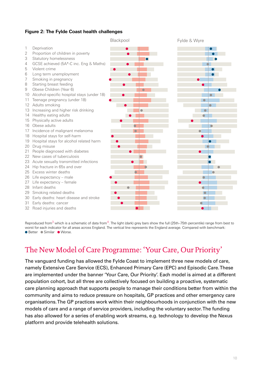#### <span id="page-9-0"></span>**Figure 2: The Fylde Coast health challenges**



Reproduced from $3$  which is a schematic of data from $4$ . The light (dark) grey bars show the full (25th–75th percentile) range from best to worst for each indicator for all areas across England. The vertical line represents the England average. Compared with benchmark: ● Better ● Similar ● Worse.

### The New Model of Care Programme: 'Your Care, Our Priority'

The vanguard funding has allowed the Fylde Coast to implement three new models of care, namely Extensive Care Service (ECS), Enhanced Primary Care (EPC) and Episodic Care. These are implemented under the banner 'Your Care, Our Priority'. Each model is aimed at a different population cohort, but all three are collectively focused on building a proactive, systematic care planning approach that supports people to manage their conditions better from within the community and aims to reduce pressure on hospitals, GP practices and other emergency care organisations. The GP practices work within their neighbourhoods in conjunction with the new models of care and a range of service providers, including the voluntary sector. The funding has also allowed for a series of enabling work streams, e.g. technology to develop the Nexus platform and provide telehealth solutions.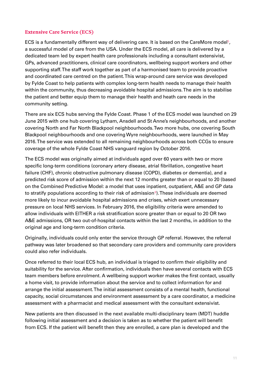#### <span id="page-10-0"></span>**Extensive Care Service (ECS)**

ECS is a fundamentally different way of delivering care. It is based on the CareMore model $^5$  $^5$ , a successful model of care from the USA. Under the ECS model, all care is delivered by a dedicated team led by expert health care professionals including a consultant extensivist, GPs, advanced practitioners, clinical care coordinators, wellbeing support workers and other supporting staff. The staff work together as part of a harmonised team to provide proactive and coordinated care centred on the patient. This wrap-around care service was developed by Fylde Coast to help patients with complex long-term health needs to manage their health within the community, thus decreasing avoidable hospital admissions. The aim is to stabilise the patient and better equip them to manage their health and heath care needs in the community setting.

There are six ECS hubs serving the Fylde Coast. Phase 1 of the ECS model was launched on 29 June 2015 with one hub covering Lytham, Ansdell and St Anne's neighbourhoods, and another covering North and Far North Blackpool neighbourhoods. Two more hubs, one covering South Blackpool neighbourhoods and one covering Wyre neighbourhoods, were launched in May 2016. The service was extended to all remaining neighbourhoods across both CCGs to ensure coverage of the whole Fylde Coast NHS vanguard region by October 2016.

The ECS model was originally aimed at individuals aged over 60 years with two or more specific long-term conditions (coronary artery disease, atrial fibrillation, congestive heart failure (CHF), chronic obstructive pulmonary disease (COPD), diabetes or dementia), and a predicted risk score of admission within the next 12 months greater than or equal to 20 (based on the Combined Predictive Model: a model that uses inpatient, outpatient, A&E and GP data to stratify populations according to their risk of admission $^6$  $^6$ ). These individuals are deemed more likely to incur avoidable hospital admissions and crises, which exert unnecessary pressure on local NHS services. In February 2016, the eligibility criteria were amended to allow individuals with EITHER a risk stratification score greater than or equal to 20 OR two A&E admissions, OR two out-of-hospital contacts within the last 2 months, in addition to the original age and long-term condition criteria.

Originally, individuals could only enter the service through GP referral. However, the referral pathway was later broadened so that secondary care providers and community care providers could also refer individuals.

Once referred to their local ECS hub, an individual is triaged to confirm their eligibility and suitability for the service. After confirmation, individuals then have several contacts with ECS team members before enrolment. A wellbeing support worker makes the first contact, usually a home visit, to provide information about the service and to collect information for and arrange the initial assessment. The initial assessment consists of a mental health, functional capacity, social circumstances and environment assessment by a care coordinator, a medicine assessment with a pharmacist and medical assessment with the consultant extensivist.

New patients are then discussed in the next available multi-disciplinary team (MDT) huddle following initial assessment and a decision is taken as to whether the patient will benefit from ECS. If the patient will benefit then they are enrolled, a care plan is developed and the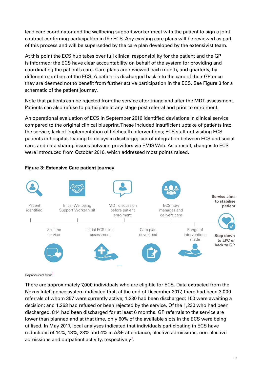lead care coordinator and the wellbeing support worker meet with the patient to sign a joint contract confirming participation in the ECS. Any existing care plans will be reviewed as part of this process and will be superseded by the care plan developed by the extensivist team.

At this point the ECS hub takes over full clinical responsibility for the patient and the GP is informed; the ECS have clear accountability on behalf of the system for providing and coordinating the patient's care. Care plans are reviewed each month, and quarterly, by different members of the ECS. A patient is discharged back into the care of their GP once they are deemed not to benefit from further active participation in the ECS. See Figure 3 for a schematic of the patient journey.

Note that patients can be rejected from the service after triage and after the MDT assessment. Patients can also refuse to participate at any stage post referral and prior to enrolment.

An operational evaluation of ECS in September 2016 identified deviations in clinical service compared to the original clinical blueprint. These included insufficient uptake of patients into the service; lack of implementation of telehealth interventions; ECS staff not visiting ECS patients in hospital, leading to delays in discharge; lack of integration between ECS and social care; and data sharing issues between providers via EMIS Web. As a result, changes to ECS were introduced from October 2016, which addressed most points raised.

#### **Figure 3: Extensive Care patient journey**



#### Reproduced from<sup>[1](#page-42-1)</sup>

There are approximately 7,000 individuals who are eligible for ECS. Data extracted from the Nexus Intelligence system indicated that, at the end of December 2017, there had been 3,000 referrals of whom 357 were currently active; 1,230 had been discharged; 150 were awaiting a decision; and 1,263 had refused or been rejected by the service. Of the 1,230 who had been discharged, 814 had been discharged for at least 6 months. GP referrals to the service are lower than planned and at that time, only 60% of the available slots in the ECS were being utilised. In May 2017, local analyses indicated that individuals participating in ECS have reductions of 14%, 18%, 23% and 4% in A&E attendance, elective admissions, non-elective admissions and outpatient activity, respectively<sup>[7](#page-42-7)</sup>.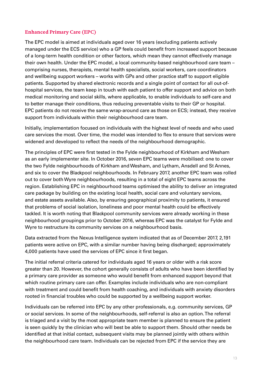#### <span id="page-12-0"></span>**Enhanced Primary Care (EPC)**

The EPC model is aimed at individuals aged over 16 years (excluding patients actively managed under the ECS service) who a GP feels could benefit from increased support because of a long-term health condition or other factors, which mean they cannot effectively manage their own health. Under the EPC model, a local community-based neighbourhood care team – comprising nurses, therapists, mental health specialists, social workers, care coordinators and wellbeing support workers – works with GPs and other practice staff to support eligible patients. Supported by shared electronic records and a single point of contact for all out-ofhospital services, the team keep in touch with each patient to offer support and advice on both medical monitoring and social skills, where applicable, to enable individuals to self-care and to better manage their conditions, thus reducing preventable visits to their GP or hospital. EPC patients do not receive the same wrap-around care as those on ECS; instead, they receive support from individuals within their neighbourhood care team.

Initially, implementation focused on individuals with the highest level of needs and who used care services the most. Over time, the model was intended to flex to ensure that services were widened and developed to reflect the needs of the neighbourhood demographic.

The principles of EPC were first tested in the Fylde neighbourhood of Kirkham and Wesham as an early implementer site. In October 2016, seven EPC teams were mobilised: one to cover the two Fylde neighbourhoods of Kirkham and Wesham, and Lytham, Ansdell and St Annes, and six to cover the Blackpool neighbourhoods. In February 2017, another EPC team was rolled out to cover both Wyre neighbourhoods, resulting in a total of eight EPC teams across the region. Establishing EPC in neighbourhood teams optimised the ability to deliver an integrated care package by building on the existing local health, social care and voluntary services, and estate assets available. Also, by ensuring geographical proximity to patients, it ensured that problems of social isolation, loneliness and poor mental health could be effectively tackled. It is worth noting that Blackpool community services were already working in these neighbourhood groupings prior to October 2016, whereas EPC was the catalyst for Fylde and Wyre to restructure its community services on a neighbourhood basis.

Data extracted from the Nexus Intelligence system indicated that as of December 2017, 2,191 patients were active on EPC, with a similar number having being discharged; approximately 4,000 patients have used the services of EPC since it first began.

The initial referral criteria catered for individuals aged 16 years or older with a risk score greater than 20. However, the cohort generally consists of adults who have been identified by a primary care provider as someone who would benefit from enhanced support beyond that which routine primary care can offer. Examples include individuals who are non-compliant with treatment and could benefit from health coaching, and individuals with anxiety disorders rooted in financial troubles who could be supported by a wellbeing support worker.

Individuals can be referred into EPC by any other professionals, e.g. community services, GP or social services. In some of the neighbourhoods, self-referral is also an option. The referral is triaged and a visit by the most appropriate team member is planned to ensure the patient is seen quickly by the clinician who will best be able to support them. Should other needs be identified at that initial contact, subsequent visits may be planned jointly with others within the neighbourhood care team. Individuals can be rejected from EPC if the service they are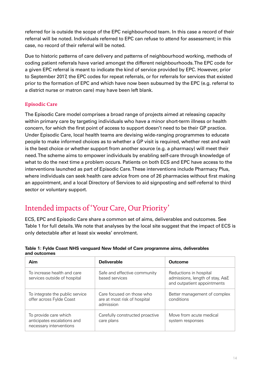<span id="page-13-0"></span>referred for is outside the scope of the EPC neighbourhood team. In this case a record of their referral will be noted. Individuals referred to EPC can refuse to attend for assessment; in this case, no record of their referral will be noted.

Due to historic patterns of care delivery and patterns of neighbourhood working, methods of coding patient referrals have varied amongst the different neighbourhoods. The EPC code for a given EPC referral is meant to indicate the kind of service provided by EPC. However, prior to September 2017, the EPC codes for repeat referrals, or for referrals for services that existed prior to the formation of EPC and which have now been subsumed by the EPC (e.g. referral to a district nurse or matron care) may have been left blank.

#### **Episodic Care**

The Episodic Care model comprises a broad range of projects aimed at releasing capacity within primary care by targeting individuals who have a minor short-term illness or health concern, for which the first point of access to support doesn't need to be their GP practice. Under Episodic Care, local health teams are devising wide-ranging programmes to educate people to make informed choices as to whether a GP visit is required, whether rest and wait is the best choice or whether support from another source (e.g. a pharmacy) will meet their need. The scheme aims to empower individuals by enabling self-care through knowledge of what to do the next time a problem occurs. Patients on both ECS and EPC have access to the interventions launched as part of Episodic Care. These interventions include Pharmacy Plus, where individuals can seek health care advice from one of 26 pharmacies without first making an appointment, and a local Directory of Services to aid signposting and self-referral to third sector or voluntary support.

### Intended impacts of 'Your Care, Our Priority'

ECS, EPC and Episodic Care share a common set of aims, deliverables and outcomes. See Table 1 for full details. We note that analyses by the local site suggest that the impact of ECS is only detectable after at least six weeks' enrolment.

| Aim                                                                             | <b>Deliverable</b>                                                     | Outcome                                                                                  |
|---------------------------------------------------------------------------------|------------------------------------------------------------------------|------------------------------------------------------------------------------------------|
| To increase health and care<br>services outside of hospital                     | Safe and effective community<br>based services                         | Reductions in hospital<br>admissions, length of stay, A&E<br>and outpatient appointments |
| To integrate the public service<br>offer across Fylde Coast                     | Care focused on those who<br>are at most risk of hospital<br>admission | Better management of complex<br>conditions                                               |
| To provide care which<br>anticipates escalations and<br>necessary interventions | Carefully constructed proactive<br>care plans                          | Move from acute medical<br>system responses                                              |

#### **Table 1: Fylde Coast NHS vanguard New Model of Care programme aims, deliverables and outcomes**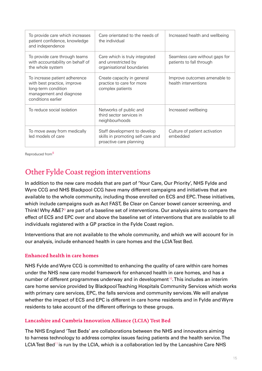<span id="page-14-0"></span>

| To provide care which increases<br>patient confidence, knowledge<br>and independence                                                 | Care orientated to the needs of<br>the individual                                            | Increased health and wellbeing                             |
|--------------------------------------------------------------------------------------------------------------------------------------|----------------------------------------------------------------------------------------------|------------------------------------------------------------|
| To provide care through teams<br>with accountability on behalf of<br>the whole system                                                | Care which is truly integrated<br>and unrestricted by<br>organisational boundaries           | Seamless care without gaps for<br>patients to fall through |
| To increase patient adherence<br>with best practice, improve<br>long-term condition<br>management and diagnose<br>conditions earlier | Create capacity in general<br>practice to care for more<br>complex patients                  | Improve outcomes amenable to<br>health interventions       |
| To reduce social isolation                                                                                                           | Networks of public and<br>third sector services in<br>neighbourhoods                         | Increased wellbeing                                        |
| To move away from medically<br>led models of care                                                                                    | Staff development to develop<br>skills in promoting self-care and<br>proactive care planning | Culture of patient activation<br>embedded                  |

Reproduced from [8](#page-42-8)

### Other Fylde Coast region interventions

In addition to the new care models that are part of 'Your Care, Our Priority', NHS Fylde and Wyre CCG and NHS Blackpool CCG have many different campaigns and initiatives that are available to the whole community, including those enrolled on ECS and EPC. These initiatives, which include campaigns such as Act FAST, Be Clear on Cancer bowel cancer screening, and Think! Why A&E? $\rm{^9}$  $\rm{^9}$  $\rm{^9}$  are part of a baseline set of interventions. Our analysis aims to compare the effect of ECS and EPC over and above the baseline set of interventions that are available to all individuals registered with a GP practice in the Fylde Coast region.

Interventions that are not available to the whole community, and which we will account for in our analysis, include enhanced health in care homes and the LCIA Test Bed.

#### **Enhanced health in care homes**

NHS Fylde and Wyre CCG is committed to enhancing the quality of care within care homes under the NHS new care model framework for enhanced health in care homes, and has a number of different programmes underway and in development<sup>[10](#page-42-10)</sup>. This includes an interim care home service provided by Blackpool Teaching Hospitals Community Services which works with primary care services, EPC, the falls services and community services. We will analyse whether the impact of ECS and EPC is different in care home residents and in Fylde and Wyre residents to take account of the different offerings to these groups.

#### **Lancashire and Cumbria Innovation Alliance (LCIA) Test Bed**

The NHS England 'Test Beds' are collaborations between the NHS and innovators aiming to harness technology to address complex issues facing patients and the health service. The LCIA Test Bed<sup>[11](#page-42-11)</sup> is run by the LCIA, which is a collaboration led by the Lancashire Care NHS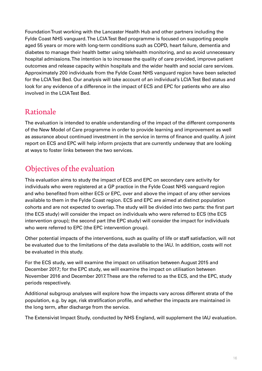<span id="page-15-0"></span>Foundation Trust working with the Lancaster Health Hub and other partners including the Fylde Coast NHS vanguard. The LCIA Test Bed programme is focused on supporting people aged 55 years or more with long-term conditions such as COPD, heart failure, dementia and diabetes to manage their health better using telehealth monitoring, and so avoid unnecessary hospital admissions. The intention is to increase the quality of care provided, improve patient outcomes and release capacity within hospitals and the wider health and social care services. Approximately 200 individuals from the Fylde Coast NHS vanguard region have been selected for the LCIA Test Bed. Our analysis will take account of an individual's LCIA Test Bed status and look for any evidence of a difference in the impact of ECS and EPC for patients who are also involved in the LCIA Test Bed.

### Rationale

The evaluation is intended to enable understanding of the impact of the different components of the New Model of Care programme in order to provide learning and improvement as well as assurance about continued investment in the service in terms of finance and quality. A joint report on ECS and EPC will help inform projects that are currently underway that are looking at ways to foster links between the two services.

### Objectives of the evaluation

This evaluation aims to study the impact of ECS and EPC on secondary care activity for individuals who were registered at a GP practice in the Fylde Coast NHS vanguard region and who benefited from either ECS or EPC, over and above the impact of any other services available to them in the Fylde Coast region. ECS and EPC are aimed at distinct population cohorts and are not expected to overlap. The study will be divided into two parts: the first part (the ECS study) will consider the impact on individuals who were referred to ECS (the ECS intervention group); the second part (the EPC study) will consider the impact for individuals who were referred to EPC (the EPC intervention group).

Other potential impacts of the interventions, such as quality of life or staff satisfaction, will not be evaluated due to the limitations of the data available to the IAU. In addition, costs will not be evaluated in this study.

For the ECS study, we will examine the impact on utilisation between August 2015 and December 2017; for the EPC study, we will examine the impact on utilisation between November 2016 and December 2017. These are the referred to as the ECS, and the EPC, study periods respectively.

Additional subgroup analyses will explore how the impacts vary across different strata of the population, e.g. by age, risk stratification profile, and whether the impacts are maintained in the long term, after discharge from the service.

The Extensivist Impact Study, conducted by NHS England, will supplement the IAU evaluation.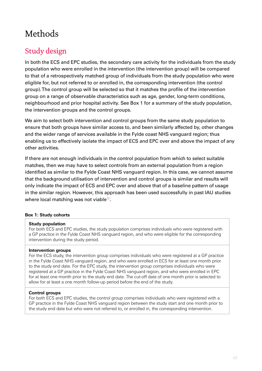# <span id="page-16-0"></span>Methods

### Study design

In both the ECS and EPC studies, the secondary care activity for the individuals from the study population who were enrolled in the intervention (the intervention group) will be compared to that of a retrospectively matched group of individuals from the study population who were eligible for, but not referred to or enrolled in, the corresponding intervention (the control group). The control group will be selected so that it matches the profile of the intervention group on a range of observable characteristics such as age, gender, long-term conditions, neighbourhood and prior hospital activity. See Box 1 for a summary of the study population, the intervention groups and the control groups.

We aim to select both intervention and control groups from the same study population to ensure that both groups have similar access to, and been similarly affected by, other changes and the wider range of services available in the Fylde coast NHS vanguard region; thus enabling us to effectively isolate the impact of ECS and EPC over and above the impact of any other activities.

If there are not enough individuals in the control population from which to select suitable matches, then we may have to select controls from an external population from a region identified as similar to the Fylde Coast NHS vanguard region. In this case, we cannot assume that the background utilisation of intervention and control groups is similar and results will only indicate the impact of ECS and EPC over and above that of a baseline pattern of usage in the similar region. However, this approach has been used successfully in past IAU studies where local matching was not viable $12$ .

#### **Box 1: Study cohorts**

#### **Study population**

For both ECS and EPC studies, the study population comprises individuals who were registered with a GP practice in the Fylde Coast NHS vanguard region, and who were eligible for the corresponding intervention during the study period.

#### **Intervention groups**

For the ECS study, the intervention group comprises individuals who were registered at a GP practice in the Fylde Coast NHS vanguard region, and who were enrolled in ECS for at least one month prior to the study end date. For the EPC study, the intervention group comprises individuals who were registered at a GP practice in the Fylde Coast NHS vanguard region, and who were enrolled in EPC for at least one month prior to the study end date. The cut-off date of one month prior is selected to allow for at least a one month follow-up period before the end of the study.

#### **Control groups**

For both ECS and EPC studies, the control group comprises individuals who were registered with a GP practice in the Fylde Coast NHS vanguard region between the study start and one month prior to the study end date but who were not referred to, or enrolled in, the corresponding intervention.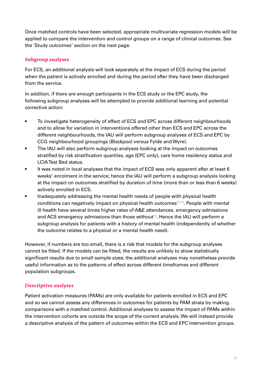<span id="page-17-0"></span>Once matched controls have been selected, appropriate multivariate regression models will be applied to compare the intervention and control groups on a range of clinical outcomes. See the 'Study outcomes' section on the next page.

#### **Subgroup analyses**

For ECS, an additional analysis will look separately at the impact of ECS during the period when the patient is actively enrolled and during the period after they have been discharged from the service.

In addition, if there are enough participants in the ECS study or the EPC study, the following subgroup analyses will be attempted to provide additional learning and potential corrective action:

- To investigate heterogeneity of effect of ECS and EPC across different neighbourhoods and to allow for variation in interventions offered other than ECS and EPC across the different neighbourhoods, the IAU will perform subgroup analyses of ECS and EPC by CCG neighbourhood groupings (Blackpool versus Fylde and Wyre).
- The IAU will also perform subgroup analyses looking at the impact on outcomes stratified by risk stratification quartiles, age (EPC only), care home residency status and LCIA Test Bed status.
- It was noted in local analyses that the impact of ECS was only apparent after at least 6 weeks' enrolment in the service; hence the IAU will perform a subgroup analysis looking at the impact on outcomes stratified by duration of time (more than or less than 6 weeks) actively enrolled in ECS.
- Inadequately addressing the mental health needs of people with physical health conditions can negatively impact on physical health outcomes $13,14$  $13,14$ . People with mental ill health have several times higher rates of A&E attendances, emergency admissions and ACS emergency admissions than those without<sup>[14](#page-42-14)</sup>. Hence the IAU will perform a subgroup analysis for patients with a history of mental health (independently of whether the outcome relates to a physical or a mental health need).

However, if numbers are too small, there is a risk that models for the subgroup analyses cannot be fitted. If the models can be fitted, the results are unlikely to show statistically significant results due to small sample sizes; the additional analyses may nonetheless provide useful information as to the patterns of effect across different timeframes and different population subgroups.

#### **Descriptive analyses**

Patient activation measures (PAMs) are only available for patients enrolled in ECS and EPC and so we cannot assess any differences in outcomes for patients by PAM strata by making comparisons with a matched control. Additional analyses to assess the impact of PAMs within the intervention cohorts are outside the scope of the current analysis. We will instead provide a descriptive analysis of the pattern of outcomes within the ECS and EPC intervention groups.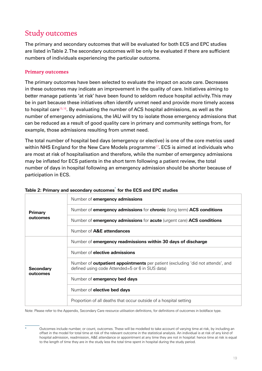### <span id="page-18-0"></span>Study outcomes

The primary and secondary outcomes that will be evaluated for both ECS and EPC studies are listed in Table 2. The secondary outcomes will be only be evaluated if there are sufficient numbers of individuals experiencing the particular outcome.

#### **Primary outcomes**

The primary outcomes have been selected to evaluate the impact on acute care. Decreases in these outcomes may indicate an improvement in the quality of care. Initiatives aiming to better manage patients 'at risk' have been found to seldom reduce hospital activity. This may be in part because these initiatives often identify unmet need and provide more timely access to hospital care<sup>[15](#page-42-15),[16](#page-42-16)</sup>. By evaluating the number of ACS hospital admissions, as well as the number of emergency admissions, the IAU will try to isolate those emergency admissions that can be reduced as a result of good quality care in primary and community settings from, for example, those admissions resulting from unmet need.

The total number of hospital bed days (emergency or elective) is one of the core metrics used within NHS England for the New Care Models programme<sup>[17](#page-42-17)</sup>. ECS is aimed at individuals who are most at risk of hospitalisation and therefore, while the number of emergency admissions may be inflated for ECS patients in the short term following a patient review, the total number of days in hospital following an emergency admission should be shorter because of participation in ECS.

|                  | Number of <b>emergency admissions</b>                                                                                                     |
|------------------|-------------------------------------------------------------------------------------------------------------------------------------------|
| Primary          | Number of <b>emergency admissions</b> for <b>chronic</b> (long term) <b>ACS</b> conditions                                                |
| outcomes         | Number of emergency admissions for acute (urgent care) ACS conditions                                                                     |
|                  | Number of <b>A&amp;E</b> attendances                                                                                                      |
|                  | Number of emergency readmissions within 30 days of discharge                                                                              |
|                  | Number of <b>elective admissions</b>                                                                                                      |
| <b>Secondary</b> | Number of <b>outpatient appointments</b> per patient (excluding 'did not attends', and<br>defined using code Attended=5 or 6 in SUS data) |
| outcomes         | Number of emergency bed days                                                                                                              |
|                  | Number of <b>elective bed days</b>                                                                                                        |
|                  | Proportion of all deaths that occur outside of a hospital setting                                                                         |

#### **Table 2: Primary and secondary outcomes**\* **for the ECS and EPC studies**

Note: Please refer to the Appendix, Secondary Care resource utilisation definitions, for definitions of outcomes in boldface type.

Outcomes include number, or count, outcomes. These will be modelled to take account of varying time at risk, by including an offset in the model for total time at risk of the relevant outcome in the statistical analysis. An individual is at risk of any kind of hospital admission, readmission, A&E attendance or appointment at any time they are not in hospital: hence time at risk is equal to the length of time they are in the study less the total time spent in hospital during the study period.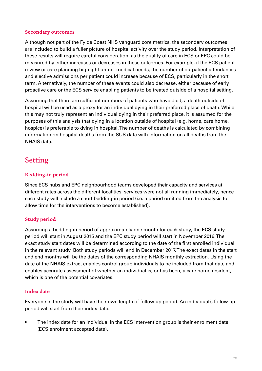#### <span id="page-19-0"></span>**Secondary outcomes**

Although not part of the Fylde Coast NHS vanguard core metrics, the secondary outcomes are included to build a fuller picture of hospital activity over the study period. Interpretation of these results will require careful consideration, as the quality of care in ECS or EPC could be measured by either increases or decreases in these outcomes. For example, if the ECS patient review or care planning highlight unmet medical needs, the number of outpatient attendances and elective admissions per patient could increase because of ECS, particularly in the short term. Alternatively, the number of these events could also decrease, either because of early proactive care or the ECS service enabling patients to be treated outside of a hospital setting.

Assuming that there are sufficient numbers of patients who have died, a death outside of hospital will be used as a proxy for an individual dying in their preferred place of death. While this may not truly represent an individual dying in their preferred place, it is assumed for the purposes of this analysis that dying in a location outside of hospital (e.g. home, care home, hospice) is preferable to dying in hospital. The number of deaths is calculated by combining information on hospital deaths from the SUS data with information on all deaths from the NHAIS data.

### Setting

#### **Bedding-in period**

Since ECS hubs and EPC neighbourhood teams developed their capacity and services at different rates across the different localities, services were not all running immediately, hence each study will include a short bedding-in period (i.e. a period omitted from the analysis to allow time for the interventions to become established).

#### **Study period**

Assuming a bedding-in period of approximately one month for each study, the ECS study period will start in August 2015 and the EPC study period will start in November 2016. The exact study start dates will be determined according to the date of the first enrolled individual in the relevant study. Both study periods will end in December 2017. The exact dates in the start and end months will be the dates of the corresponding NHAIS monthly extraction. Using the date of the NHAIS extract enables control group individuals to be included from that date and enables accurate assessment of whether an individual is, or has been, a care home resident, which is one of the potential covariates.

#### **Index date**

Everyone in the study will have their own length of follow-up period. An individual's follow-up period will start from their index date:

The index date for an individual in the ECS intervention group is their enrolment date (ECS enrolment accepted date).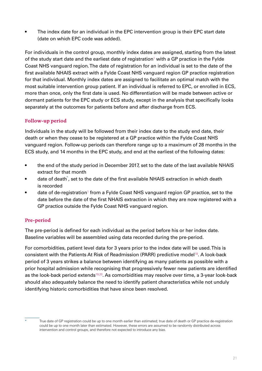<span id="page-20-0"></span>• The index date for an individual in the EPC intervention group is their EPC start date (date on which EPC code was added).

For individuals in the control group, monthly index dates are assigned, starting from the latest of the study start date and the earliest date of registration<sup>[1](#page-42-1)</sup> with a GP practice in the Fylde Coast NHS vanguard region. The date of registration for an individual is set to the date of the first available NHAIS extract with a Fylde Coast NHS vanguard region GP practice registration for that individual. Monthly index dates are assigned to facilitate an optimal match with the most suitable intervention group patient. If an individual is referred to EPC, or enrolled in ECS, more than once, only the first date is used. No differentiation will be made between active or dormant patients for the EPC study or ECS study, except in the analysis that specifically looks separately at the outcomes for patients before and after discharge from ECS.

#### **Follow-up period**

Individuals in the study will be followed from their index date to the study end date, their death or when they cease to be registered at a GP practice within the Fylde Coast NHS vanguard region. Follow-up periods can therefore range up to a maximum of 28 months in the ECS study, and 14 months in the EPC study, and end at the earliest of the following dates:

- the end of the study period in December 2017, set to the date of the last available NHAIS extract for that month
- date of death<sup>\*</sup>, set to the date of the first available NHAIS extraction in which death is recorded
- $\bullet$  date of de-registration<sup>[1](#page-42-1)</sup> from a Fylde Coast NHS vanguard region GP practice, set to the date before the date of the first NHAIS extraction in which they are now registered with a GP practice outside the Fylde Coast NHS vanguard region.

#### **Pre-period**

The pre-period is defined for each individual as the period before his or her index date. Baseline variables will be assembled using data recorded during the pre-period.

For comorbidities, patient level data for 3 years prior to the index date will be used. This is consistent with the Patients At Risk of Readmission (PARR) predictive model<sup>[18](#page-42-18)</sup>. A look-back period of 3 years strikes a balance between identifying as many patients as possible with a prior hospital admission while recognising that progressively fewer new patients are identified as the look-back period extends<sup>[19](#page-42-19),[20](#page-43-0)</sup>. As comorbidities may resolve over time, a 3-year look-back should also adequately balance the need to identify patient characteristics while not unduly identifying historic comorbidities that have since been resolved.

True date of GP registration could be up to one month earlier than estimated; true date of death or GP practice de-registration could be up to one month later than estimated. However, these errors are assumed to be randomly distributed across intervention and control groups, and therefore not expected to introduce any bias.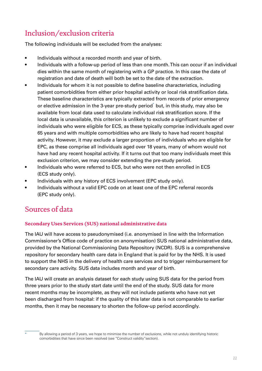### <span id="page-21-0"></span>Inclusion/exclusion criteria

The following individuals will be excluded from the analyses:

- Individuals without a recorded month and year of birth.
- Individuals with a follow-up period of less than one month. This can occur if an individual dies within the same month of registering with a GP practice. In this case the date of registration and date of death will both be set to the date of the extraction.
- Individuals for whom it is not possible to define baseline characteristics, including patient comorbidities from either prior hospital activity or local risk stratification data. These baseline characteristics are typically extracted from records of prior emergency or elective admission in the 3-year pre-study period<sup>\*</sup> but, in this study, may also be available from local data used to calculate individual risk stratification score. If the local data is unavailable, this criterion is unlikely to exclude a significant number of individuals who were eligible for ECS, as these typically comprise individuals aged over 65 years and with multiple comorbidities who are likely to have had recent hospital activity. However, it may exclude a larger proportion of individuals who are eligible for EPC, as these comprise all individuals aged over 18 years, many of whom would not have had any recent hospital activity. If it turns out that too many individuals meet this exclusion criterion, we may consider extending the pre-study period.
- Individuals who were referred to ECS, but who were not then enrolled in ECS (ECS study only).
- Individuals with any history of ECS involvement (EPC study only).
- Individuals without a valid EPC code on at least one of the EPC referral records (EPC study only).

### Sources of data

#### **Secondary Uses Services (SUS) national administrative data**

The IAU will have access to pseudonymised (i.e. anonymised in line with the Information Commissioner's Office code of practice on anonymisation) SUS national administrative data, provided by the National Commissioning Data Repository (NCDR). SUS is a comprehensive repository for secondary health care data in England that is paid for by the NHS. It is used to support the NHS in the delivery of health care services and to trigger reimbursement for secondary care activity. SUS data includes month and year of birth.

The IAU will create an analysis dataset for each study using SUS data for the period from three years prior to the study start date until the end of the study. SUS data for more recent months may be incomplete, as they will not include patients who have not yet been discharged from hospital: if the quality of this later data is not comparable to earlier months, then it may be necessary to shorten the follow-up period accordingly.

By allowing a period of 3 years, we hope to minimise the number of exclusions, while not unduly identifying historic comorbidities that have since been resolved (see "Construct validity"section).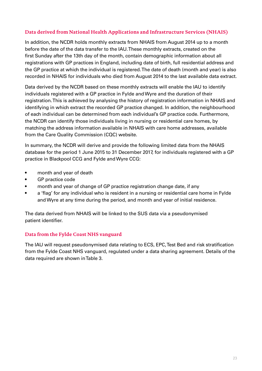#### <span id="page-22-0"></span>**Data derived from National Health Applications and Infrastructure Services (NHAIS)**

In addition, the NCDR holds monthly extracts from NHAIS from August 2014 up to a month before the date of the data transfer to the IAU. These monthly extracts, created on the first Sunday after the 13th day of the month, contain demographic information about all registrations with GP practices in England, including date of birth, full residential address and the GP practice at which the individual is registered. The date of death (month and year) is also recorded in NHAIS for individuals who died from August 2014 to the last available data extract.

Data derived by the NCDR based on these monthly extracts will enable the IAU to identify individuals registered with a GP practice in Fylde and Wyre and the duration of their registration. This is achieved by analysing the history of registration information in NHAIS and identifying in which extract the recorded GP practice changed. In addition, the neighbourhood of each individual can be determined from each individual's GP practice code. Furthermore, the NCDR can identify those individuals living in nursing or residential care homes, by matching the address information available in NHAIS with care home addresses, available from the Care Quality Commission (CQC) website.

In summary, the NCDR will derive and provide the following limited data from the NHAIS database for the period 1 June 2015 to 31 December 2017, for individuals registered with a GP practice in Blackpool CCG and Fylde and Wyre CCG:

- month and year of death
- GP practice code
- month and year of change of GP practice registration change date, if any
- a 'flag' for any individual who is resident in a nursing or residential care home in Fylde and Wyre at any time during the period, and month and year of initial residence.

The data derived from NHAIS will be linked to the SUS data via a pseudonymised patient identifier.

#### **Data from the Fylde Coast NHS vanguard**

The IAU will request pseudonymised data relating to ECS, EPC, Test Bed and risk stratification from the Fylde Coast NHS vanguard, regulated under a data sharing agreement. Details of the data required are shown in Table 3.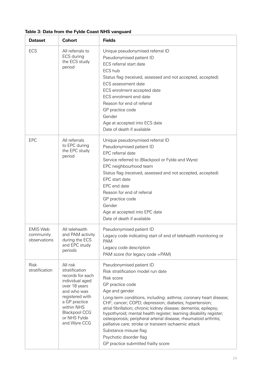| <b>Dataset</b>                               | <b>Cohort</b>                                                                                                                                                                                               | <b>Fields</b>                                                                                                                                                                                                                                                                                                                                                                                                                                                                                                                                                                                                      |
|----------------------------------------------|-------------------------------------------------------------------------------------------------------------------------------------------------------------------------------------------------------------|--------------------------------------------------------------------------------------------------------------------------------------------------------------------------------------------------------------------------------------------------------------------------------------------------------------------------------------------------------------------------------------------------------------------------------------------------------------------------------------------------------------------------------------------------------------------------------------------------------------------|
| ECS                                          | All referrals to<br>ECS during<br>the ECS study<br>period                                                                                                                                                   | Unique pseudonymised referral ID<br>Pseudonymised patient ID<br>ECS referral start date<br>ECS hub<br>Status flag (received, assessed and not accepted, accepted)<br><b>ECS</b> assessment date<br>ECS enrolment accepted date<br>ECS enrolment end date<br>Reason for end of referral<br>GP practice code<br>Gender<br>Age at accepted into ECS date<br>Date of death if available                                                                                                                                                                                                                                |
| <b>EPC</b>                                   | All referrals<br>to EPC during<br>the EPC study<br>period                                                                                                                                                   | Unique pseudonymised referral ID<br>Pseudonymised patient ID<br>EPC referral date<br>Service referred to (Blackpool or Fylde and Wyre)<br>EPC neighbourhood team<br>Status flag (received, assessed and not accepted, accepted)<br>EPC start date<br>EPC end date<br>Reason for end of referral<br>GP practice code<br>Gender<br>Age at accepted into EPC date<br>Date of death if available                                                                                                                                                                                                                       |
| <b>EMIS Web</b><br>community<br>observations | All telehealth<br>and PAM activity<br>during the ECS<br>and EPC study<br>periods                                                                                                                            | Pseudonymised patient ID<br>Legacy code indicating start of end of telehealth monitoring or<br><b>PAM</b><br>Legacy code description<br>PAM score (for legacy code = PAM)                                                                                                                                                                                                                                                                                                                                                                                                                                          |
| Risk<br>stratification                       | All risk<br>stratification<br>records for each<br>individual aged<br>over 18 years<br>and who was<br>registered with<br>a GP practice<br>within NHS<br><b>Blackpool CCG</b><br>or NHS Fylde<br>and Wyre CCG | Pseudonymised patient ID<br>Risk stratification model run date<br>Risk score<br>GP practice code<br>Age and gender<br>Long-term conditions, including: asthma; coronary heart disease;<br>CHF; cancer; COPD; depression; diabetes; hypertension;<br>atrial fibrillation; chronic kidney disease; dementia; epilepsy;<br>hypothyroid; mental health register; learning disability register;<br>osteoporosis; peripheral arterial disease; rheumatoid arthritis;<br>palliative care; stroke or transient ischaemic attack<br>Substance misuse flag<br>Psychotic disorder flag<br>GP practice submitted frailty score |

#### **Table 3: Data from the Fylde Coast NHS vanguard**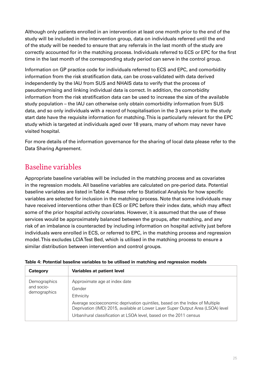<span id="page-24-0"></span>Although only patients enrolled in an intervention at least one month prior to the end of the study will be included in the intervention group, data on individuals referred until the end of the study will be needed to ensure that any referrals in the last month of the study are correctly accounted for in the matching process. Individuals referred to ECS or EPC for the first time in the last month of the corresponding study period can serve in the control group.

Information on GP practice code for individuals referred to ECS and EPC, and comorbidity information from the risk stratification data, can be cross-validated with data derived independently by the IAU from SUS and NHAIS data to verify that the process of pseudonymising and linking individual data is correct. In addition, the comorbidity information from the risk stratification data can be used to increase the size of the available study population – the IAU can otherwise only obtain comorbidity information from SUS data, and so only individuals with a record of hospitalisation in the 3 years prior to the study start date have the requisite information for matching. This is particularly relevant for the EPC study which is targeted at individuals aged over 18 years, many of whom may never have visited hospital.

For more details of the information governance for the sharing of local data please refer to the Data Sharing Agreement.

### Baseline variables

Appropriate baseline variables will be included in the matching process and as covariates in the regression models. All baseline variables are calculated on pre-period data. Potential baseline variables are listed in Table 4. Please refer to Statistical Analysis for how specific variables are selected for inclusion in the matching process. Note that some individuals may have received interventions other than ECS or EPC before their index date, which may affect some of the prior hospital activity covariates. However, it is assumed that the use of these services would be approximately balanced between the groups, after matching, and any risk of an imbalance is counteracted by including information on hospital activity just before individuals were enrolled in ECS, or referred to EPC, in the matching process and regression model. This excludes LCIA Test Bed, which is utilised in the matching process to ensure a similar distribution between intervention and control groups.

| Category                                   | Variables at patient level                                                                                                                                                                                                                                                                   |
|--------------------------------------------|----------------------------------------------------------------------------------------------------------------------------------------------------------------------------------------------------------------------------------------------------------------------------------------------|
| Demographics<br>and socio-<br>demographics | Approximate age at index date<br>Gender<br>Ethnicity<br>Average socioeconomic deprivation quintiles, based on the Index of Multiple<br>Deprivation (IMD) 2015, available at Lower Layer Super Output Area (LSOA) level<br>Urban/rural classification at LSOA level, based on the 2011 census |

#### **Table 4: Potential baseline variables to be utilised in matching and regression models**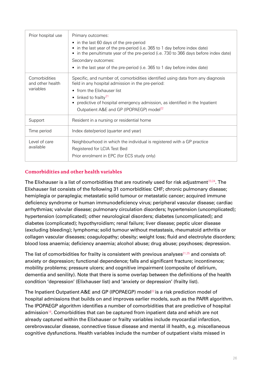<span id="page-25-0"></span>

| Prior hospital use                             | Primary outcomes:<br>• in the last 60 days of the pre-period<br>in the last year of the pre-period (i.e. 365 to 1 day before index date)<br>in the penultimate year of the pre-period (i.e. 730 to 366 days before index date)<br>Secondary outcomes:<br>• in the last year of the pre-period (i.e. 365 to 1 day before index date)            |  |
|------------------------------------------------|------------------------------------------------------------------------------------------------------------------------------------------------------------------------------------------------------------------------------------------------------------------------------------------------------------------------------------------------|--|
| Comorbidities<br>and other health<br>variables | Specific, and number of, comorbidities identified using data from any diagnosis<br>field in any hospital admission in the pre-period:<br>• from the Elixhauser list<br>• linked to frailty <sup>21</sup><br>predictive of hospital emergency admission, as identified in the Inpatient<br>Outpatient A&E and GP (IPOPAEGP) model <sup>22</sup> |  |
| Support                                        | Resident in a nursing or residential home                                                                                                                                                                                                                                                                                                      |  |
| Time period                                    | Index date/period (quarter and year)                                                                                                                                                                                                                                                                                                           |  |
| Level of care<br>available                     | Neighbourhood in which the individual is registered with a GP practice<br>Registered for LCIA Test Bed<br>Prior enrolment in EPC (for ECS study only)                                                                                                                                                                                          |  |

#### **Comorbidities and other health variables**

The Elixhauser is a list of comorbidities that are routinely used for risk adjustment $^{23,24}$  $^{23,24}$  $^{23,24}$  $^{23,24}$ . The Elixhauser list consists of the following 31 comorbidities: CHF; chronic pulmonary disease; hemiplegia or paraplegia; metastatic solid tumour or metastatic cancer; acquired immune deficiency syndrome or human immunodeficiency virus; peripheral vascular disease; cardiac arrhythmias; valvular disease; pulmonary circulation disorders; hypertension (uncomplicated); hypertension (complicated); other neurological disorders; diabetes (uncomplicated); and diabetes (complicated); hypothyroidism; renal failure; liver disease; peptic ulcer disease (excluding bleeding); lymphoma; solid tumour without metastasis, rheumatoid arthritis or collagen vascular diseases; coagulopathy; obesity; weight loss; fluid and electrolyte disorders; blood loss anaemia; deficiency anaemia; alcohol abuse; drug abuse; psychoses; depression.

The list of comorbidities for frailty is consistent with previous analyses $21,25$  $21,25$  and consists of: anxiety or depression; functional dependence; falls and significant fracture; incontinence; mobility problems; pressure ulcers; and cognitive impairment (composite of delirium, dementia and senility). Note that there is some overlap between the definitions of the health condition 'depression' (Elixhauser list) and 'anxiety or depression' (frailty list).

The Inpatient Outpatient A&E and GP (IPOPAEGP) model<sup>[22](#page-43-2)</sup> is a risk prediction model of hospital admissions that builds on and improves earlier models, such as the PARR algorithm. The IPOPAEGP algorithm identifies a number of comorbidities that are predictive of hospital admission<sup>[18](#page-42-18)</sup>. Comorbidities that can be captured from inpatient data and which are not already captured within the Elixhauser or frailty variables include myocardial infarction, cerebrovascular disease, connective tissue disease and mental ill health, e.g. miscellaneous cognitive dysfunctions. Health variables include the number of outpatient visits missed in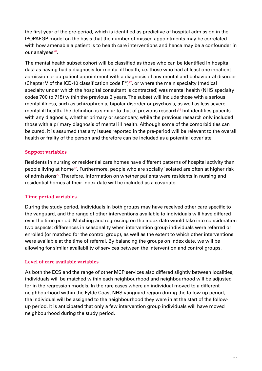<span id="page-26-0"></span>the first year of the pre-period, which is identified as predictive of hospital admission in the IPOPAEGP model on the basis that the number of missed appointments may be correlated with how amenable a patient is to health care interventions and hence may be a confounder in our analyses $^{26}$  $^{26}$  $^{26}$ .

The mental health subset cohort will be classified as those who can be identified in hospital data as having had a diagnosis for mental ill health, i.e. those who had at least one inpatient admission or outpatient appointment with a diagnosis of any mental and behavioural disorder (Chapter V of the ICD-10 classification code  $F^*$ )<sup>[27](#page-43-7)</sup>, or where the main specialty (medical specialty under which the hospital consultant is contracted) was mental health (NHS specialty codes 700 to 715) within the previous 3 years. The subset will include those with a serious mental illness, such as schizophrenia, bipolar disorder or psychosis, as well as less severe mental ill health. The definition is similar to that of previous research<sup>[14](#page-42-14)</sup> but identifies patients with any diagnosis, whether primary or secondary, while the previous research only included those with a primary diagnosis of mental ill health. Although some of the comorbidities can be cured, it is assumed that any issues reported in the pre-period will be relevant to the overall health or frailty of the person and therefore can be included as a potential covariate.

#### **Support variables**

Residents in nursing or residential care homes have different patterns of hospital activity than people living at home<sup>[12](#page-42-12)</sup>. Furthermore, people who are socially isolated are often at higher risk of admissions<sup>[22](#page-43-2)</sup>. Therefore, information on whether patients were residents in nursing and residential homes at their index date will be included as a covariate.

#### **Time period variables**

During the study period, individuals in both groups may have received other care specific to the vanguard, and the range of other interventions available to individuals will have differed over the time period. Matching and regressing on the index date would take into consideration two aspects: differences in seasonality when intervention group individuals were referred or enrolled (or matched for the control group), as well as the extent to which other interventions were available at the time of referral. By balancing the groups on index date, we will be allowing for similar availability of services between the intervention and control groups.

#### **Level of care available variables**

As both the ECS and the range of other MCP services also differed slightly between localities, individuals will be matched within each neighbourhood and neighbourhood will be adjusted for in the regression models. In the rare cases where an individual moved to a different neighbourhood within the Fylde Coast NHS vanguard region during the follow-up period, the individual will be assigned to the neighbourhood they were in at the start of the followup period. It is anticipated that only a few intervention group individuals will have moved neighbourhood during the study period.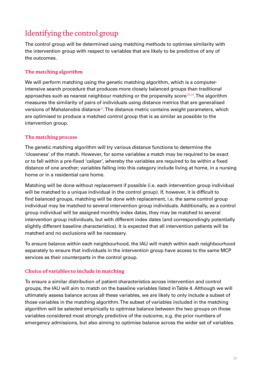### <span id="page-27-0"></span>Identifying the control group

The control group will be determined using matching methods to optimise similarity with the intervention group with respect to variables that are likely to be predictive of any of the outcomes.

#### **The matching algorithm**

We will perform matching using the genetic matching algorithm, which is a computerintensive search procedure that produces more closely balanced groups than traditional approaches such as nearest neighbour matching or the propensity score<sup>[28,](#page-43-8)[29](#page-43-9)</sup>. The algorithm measures the similarity of pairs of individuals using distance metrics that are generalised versions of Mahalanobis distance<sup>[32](#page-43-10)</sup>. The distance metric contains weight parameters, which are optimised to produce a matched control group that is as similar as possible to the intervention group.

#### **The matching process**

The genetic matching algorithm will try various distance functions to determine the 'closeness' of the match. However, for some variables a match may be required to be exact or to fall within a pre-fixed 'caliper', whereby the variables are required to be within a fixed distance of one another; variables falling into this category include living at home, in a nursing home or in a residential care home.

Matching will be done without replacement if possible (i.e. each intervention group individual will be matched to a unique individual in the control group). If, however, it is difficult to find balanced groups, matching will be done with replacement, i.e. the same control group individual may be matched to several intervention group individuals. Additionally, as a control group individual will be assigned monthly index dates, they may be matched to several intervention group individuals, but with different index dates (and correspondingly potentially slightly different baseline characteristics). It is expected that all intervention patients will be matched and no exclusions will be necessary.

To ensure balance within each neighbourhood, the IAU will match within each neighbourhood separately to ensure that individuals in the intervention group have access to the same MCP services as their counterparts in the control group.

#### **Choice of variables to include in matching**

To ensure a similar distribution of patient characteristics across intervention and control groups, the IAU will aim to match on the baseline variables listed in Table 4. Although we will ultimately assess balance across all these variables, we are likely to only include a subset of those variables in the matching algorithm. The subset of variables included in the matching algorithm will be selected empirically to optimise balance between the two groups on those variables considered most strongly predictive of the outcome, e.g. the prior numbers of emergency admissions, but also aiming to optimise balance across the wider set of variables.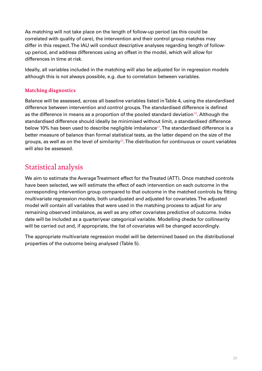<span id="page-28-0"></span>As matching will not take place on the length of follow-up period (as this could be correlated with quality of care), the intervention and their control group matches may differ in this respect. The IAU will conduct descriptive analyses regarding length of followup period, and address differences using an offset in the model, which will allow for differences in time at risk.

Ideally, all variables included in the matching will also be adjusted for in regression models although this is not always possible, e.g. due to correlation between variables.

#### **Matching diagnostics**

Balance will be assessed, across all baseline variables listed in Table 4, using the standardised difference between intervention and control groups. The standardised difference is defined as the difference in means as a proportion of the pooled standard deviation<sup>[30](#page-43-11)</sup>. Although the standardised difference should ideally be minimised without limit, a standardised difference below 10% has been used to describe negligible imbalance<sup>[31](#page-43-12)</sup>. The standardised difference is a better measure of balance than formal statistical tests, as the latter depend on the size of the groups, as well as on the level of similarity $32$ . The distribution for continuous or count variables will also be assessed.

### Statistical analysis

We aim to estimate the Average Treatment effect for the Treated (ATT). Once matched controls have been selected, we will estimate the effect of each intervention on each outcome in the corresponding intervention group compared to that outcome in the matched controls by fitting multivariate regression models, both unadjusted and adjusted for covariates. The adjusted model will contain all variables that were used in the matching process to adjust for any remaining observed imbalance, as well as any other covariates predictive of outcome. Index date will be included as a quarter/year categorical variable. Modelling checks for collinearity will be carried out and, if appropriate, the list of covariates will be changed accordingly.

The appropriate multivariate regression model will be determined based on the distributional properties of the outcome being analysed (Table 5).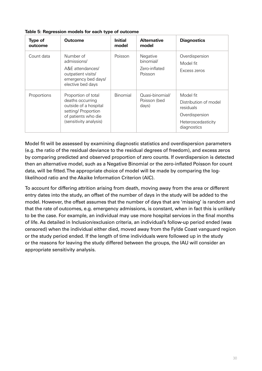| <b>Type of</b><br>outcome | Outcome                                                                                                                                  | <b>Initial</b><br>model | <b>Alternative</b><br>model                       | <b>Diagnostics</b>                                                                                     |
|---------------------------|------------------------------------------------------------------------------------------------------------------------------------------|-------------------------|---------------------------------------------------|--------------------------------------------------------------------------------------------------------|
| Count data                | Number of<br>admissions/<br>A&E attendances/<br>outpatient visits/<br>emergency bed days/<br>elective bed days                           | Poisson                 | Negative<br>binomial/<br>Zero-inflated<br>Poisson | Overdispersion<br>Model fit<br>Excess zeros                                                            |
| Proportions               | Proportion of total<br>deaths occurring<br>outside of a hospital<br>setting/ Proportion<br>of patients who die<br>(sensitivity analysis) | Binomial                | Quasi-binomial/<br>Poisson (bed<br>days)          | Model fit<br>Distribution of model<br>residuals<br>Overdispersion<br>Heteroscedasticity<br>diagnostics |

#### **Table 5: Regression models for each type of outcome**

Model fit will be assessed by examining diagnostic statistics and overdispersion parameters (e.g. the ratio of the residual deviance to the residual degrees of freedom), and excess zeros by comparing predicted and observed proportion of zero counts. If overdispersion is detected then an alternative model, such as a Negative Binomial or the zero-inflated Poisson for count data, will be fitted. The appropriate choice of model will be made by comparing the loglikelihood ratio and the Akaike Information Criterion (AIC).

To account for differing attrition arising from death, moving away from the area or different entry dates into the study, an offset of the number of days in the study will be added to the model. However, the offset assumes that the number of days that are 'missing' is random and that the rate of outcomes, e.g. emergency admissions, is constant, when in fact this is unlikely to be the case. For example, an individual may use more hospital services in the final months of life. As detailed in Inclusion/exclusion criteria, an individual's follow-up period ended (was censored) when the individual either died, moved away from the Fylde Coast vanguard region or the study period ended. If the length of time individuals were followed up in the study or the reasons for leaving the study differed between the groups, the IAU will consider an appropriate sensitivity analysis.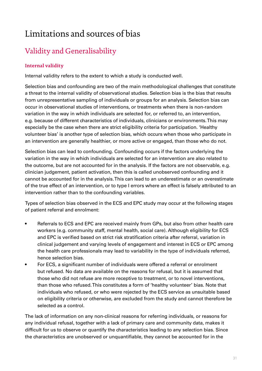# <span id="page-30-0"></span>Limitations and sources of bias

### Validity and Generalisability

#### **Internal validity**

Internal validity refers to the extent to which a study is conducted well.

Selection bias and confounding are two of the main methodological challenges that constitute a threat to the internal validity of observational studies. Selection bias is the bias that results from unrepresentative sampling of individuals or groups for an analysis. Selection bias can occur in observational studies of interventions, or treatments when there is non-random variation in the way in which individuals are selected for, or referred to, an intervention, e.g. because of different characteristics of individuals, clinicians or environments. This may especially be the case when there are strict eligibility criteria for participation. 'Healthy volunteer bias' is another type of selection bias, which occurs when those who participate in an intervention are generally healthier, or more active or engaged, than those who do not.

Selection bias can lead to confounding. Confounding occurs if the factors underlying the variation in the way in which individuals are selected for an intervention are also related to the outcome, but are not accounted for in the analysis. If the factors are not observable, e.g. clinician judgement, patient activation, then this is called unobserved confounding and it cannot be accounted for in the analysis. This can lead to an underestimate or an overestimate of the true effect of an intervention, or to type I errors where an effect is falsely attributed to an intervention rather than to the confounding variables.

Types of selection bias observed in the ECS and EPC study may occur at the following stages of patient referral and enrolment:

- Referrals to ECS and EPC are received mainly from GPs, but also from other health care workers (e.g. community staff, mental health, social care). Although eligibility for ECS and EPC is verified based on strict risk stratification criteria after referral, variation in clinical judgement and varying levels of engagement and interest in ECS or EPC among the health care professionals may lead to variability in the type of individuals referred, hence selection bias.
- For ECS, a significant number of individuals were offered a referral or enrolment but refused. No data are available on the reasons for refusal, but it is assumed that those who did not refuse are more receptive to treatment, or to novel interventions, than those who refused. This constitutes a form of 'healthy volunteer' bias. Note that individuals who refused, or who were rejected by the ECS service as unsuitable based on eligibility criteria or otherwise, are excluded from the study and cannot therefore be selected as a control.

The lack of information on any non-clinical reasons for referring individuals, or reasons for any individual refusal, together with a lack of primary care and community data, makes it difficult for us to observe or quantify the characteristics leading to any selection bias. Since the characteristics are unobserved or unquantifiable, they cannot be accounted for in the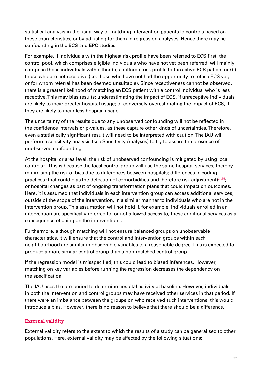<span id="page-31-0"></span>statistical analysis in the usual way of matching intervention patients to controls based on these characteristics, or by adjusting for them in regression analyses. Hence there may be confounding in the ECS and EPC studies.

For example, if individuals with the highest risk profile have been referred to ECS first, the control pool, which comprises eligible individuals who have not yet been referred, will mainly comprise those individuals with either (a) a different risk profile to the active ECS patient or (b) those who are not receptive (i.e. those who have not had the opportunity to refuse ECS yet, or for whom referral has been deemed unsuitable). Since receptiveness cannot be observed, there is a greater likelihood of matching an ECS patient with a control individual who is less receptive. This may bias results: underestimating the impact of ECS, if unreceptive individuals are likely to incur greater hospital usage; or conversely overestimating the impact of ECS, if they are likely to incur less hospital usage.

The uncertainty of the results due to any unobserved confounding will not be reflected in the confidence intervals or p-values, as these capture other kinds of uncertainties. Therefore, even a statistically significant result will need to be interpreted with caution. The IAU will perform a sensitivity analysis (see Sensitivity Analyses) to try to assess the presence of unobserved confounding.

At the hospital or area level, the risk of unobserved confounding is mitigated by using local controls<sup>[33](#page-43-13)</sup>. This is because the local control group will use the same hospital services, thereby minimising the risk of bias due to differences between hospitals; differences in coding practices (that could bias the detection of comorbidities and therefore risk adjustment) $34,35$  $34,35$ ; or hospital changes as part of ongoing transformation plans that could impact on outcomes. Here, it is assumed that individuals in each intervention group can access additional services, outside of the scope of the intervention, in a similar manner to individuals who are not in the intervention group. This assumption will not hold if, for example, individuals enrolled in an intervention are specifically referred to, or not allowed access to, these additional services as a consequence of being on the intervention. .

Furthermore, although matching will not ensure balanced groups on unobservable characteristics, it will ensure that the control and intervention groups within each neighbourhood are similar in observable variables to a reasonable degree. This is expected to produce a more similar control group than a non-matched control group.

If the regression model is misspecified, this could lead to biased inferences. However, matching on key variables before running the regression decreases the dependency on the specification.

The IAU uses the pre-period to determine hospital activity at baseline. However, individuals in both the intervention and control groups may have received other services in that period. If there were an imbalance between the groups on who received such interventions, this would introduce a bias. However, there is no reason to believe that there should be a difference.

#### **External validity**

External validity refers to the extent to which the results of a study can be generalised to other populations. Here, external validity may be affected by the following situations: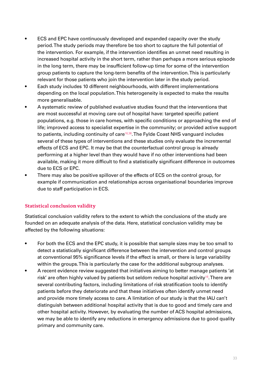- <span id="page-32-0"></span>• ECS and EPC have continuously developed and expanded capacity over the study period. The study periods may therefore be too short to capture the full potential of the intervention. For example, if the intervention identifies an unmet need resulting in increased hospital activity in the short term, rather than perhaps a more serious episode in the long term, there may be insufficient follow-up time for some of the intervention group patients to capture the long-term benefits of the intervention. This is particularly relevant for those patients who join the intervention later in the study period.
- Each study includes 10 different neighbourhoods, with different implementations depending on the local population. This heterogeneity is expected to make the results more generalisable.
- A systematic review of published evaluative studies found that the interventions that are most successful at moving care out of hospital have: targeted specific patient populations, e.g. those in care homes, with specific conditions or approaching the end of life; improved access to specialist expertise in the community; or provided active support to patients, including continuity of care $16,36$  $16,36$ . The Fylde Coast NHS vanguard includes several of these types of interventions and these studies only evaluate the incremental effects of ECS and EPC. It may be that the counterfactual control group is already performing at a higher level than they would have if no other interventions had been available, making it more difficult to find a statistically significant difference in outcomes due to ECS or EPC.
- There may also be positive spillover of the effects of ECS on the control group, for example if communication and relationships across organisational boundaries improve due to staff participation in ECS.

#### **Statistical conclusion validity**

Statistical conclusion validity refers to the extent to which the conclusions of the study are founded on an adequate analysis of the data. Here, statistical conclusion validity may be affected by the following situations:

- For both the ECS and the EPC study, it is possible that sample sizes may be too small to detect a statistically significant difference between the intervention and control groups at conventional 95% significance levels if the effect is small, or there is large variability within the groups. This is particularly the case for the additional subgroup analyses.
- A recent evidence review suggested that initiatives aiming to better manage patients 'at risk' are often highly valued by patients but seldom reduce hospital activity<sup>[16](#page-42-16)</sup>. There are several contributing factors, including limitations of risk stratification tools to identify patients before they deteriorate and that these initiatives often identify unmet need and provide more timely access to care. A limitation of our study is that the IAU can't distinguish between additional hospital activity that is due to good and timely care and other hospital activity. However, by evaluating the number of ACS hospital admissions, we may be able to identify any reductions in emergency admissions due to good quality primary and community care.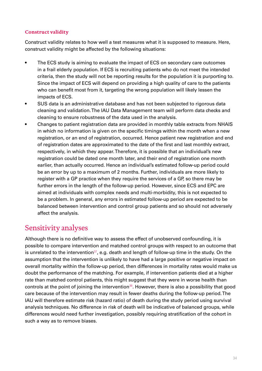#### <span id="page-33-0"></span>**Construct validity**

Construct validity relates to how well a test measures what it is supposed to measure. Here, construct validity might be affected by the following situations:

- The ECS study is aiming to evaluate the impact of ECS on secondary care outcomes in a frail elderly population. If ECS is recruiting patients who do not meet the intended criteria, then the study will not be reporting results for the population it is purporting to. Since the impact of ECS will depend on providing a high quality of care to the patients who can benefit most from it, targeting the wrong population will likely lessen the impacts of ECS.
- SUS data is an administrative database and has not been subjected to rigorous data cleaning and validation. The IAU Data Management team will perform data checks and cleaning to ensure robustness of the data used in the analysis.
- Changes to patient registration data are provided in monthly table extracts from NHAIS in which no information is given on the specific timings within the month when a new registration, or an end of registration, occurred. Hence patient new registration and end of registration dates are approximated to the date of the first and last monthly extract, respectively, in which they appear. Therefore, it is possible that an individual's new registration could be dated one month later, and their end of registration one month earlier, than actually occurred. Hence an individual's estimated follow-up period could be an error by up to a maximum of 2 months. Further, individuals are more likely to register with a GP practice when they require the services of a GP, so there may be further errors in the length of the follow-up period. However, since ECS and EPC are aimed at individuals with complex needs and multi-morbidity, this is not expected to be a problem. In general, any errors in estimated follow-up period are expected to be balanced between intervention and control group patients and so should not adversely affect the analysis.

### Sensitivity analyses

Although there is no definitive way to assess the effect of unobserved confounding, it is possible to compare intervention and matched control groups with respect to an outcome that is unrelated to the intervention $37$ , e.g. death and length of follow-up time in the study. On the assumption that the intervention is unlikely to have had a large positive or negative impact on overall mortality within the follow-up period, then differences in mortality rates would make us doubt the performance of the matching. For example, if intervention patients died at a higher rate than matched control patients, this might suggest that they were in worse health than controls at the point of joining the intervention<sup>[38](#page-44-0)</sup>. However, there is also a possibility that good care because of the intervention may result in fewer deaths during the follow-up period. The IAU will therefore estimate risk (hazard ratio) of death during the study period using survival analysis techniques. No difference in risk of death will be indicative of balanced groups, while differences would need further investigation, possibly requiring stratification of the cohort in such a way as to remove biases.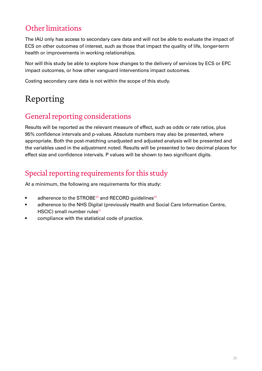### <span id="page-34-0"></span>Other limitations

The IAU only has access to secondary care data and will not be able to evaluate the impact of ECS on other outcomes of interest, such as those that impact the quality of life, longer-term health or improvements in working relationships.

Nor will this study be able to explore how changes to the delivery of services by ECS or EPC impact outcomes, or how other vanguard interventions impact outcomes.

Costing secondary care data is not within the scope of this study.

# Reporting

### General reporting considerations

Results will be reported as the relevant measure of effect, such as odds or rate ratios, plus 95% confidence intervals and p-values. Absolute numbers may also be presented, where appropriate. Both the post-matching unadjusted and adjusted analysis will be presented and the variables used in the adjustment noted. Results will be presented to two decimal places for effect size and confidence intervals. P values will be shown to two significant digits.

### Special reporting requirements for this study

At a minimum, the following are requirements for this study:

- adherence to the STROBE $39$  and RECORD guidelines $40$
- adherence to the NHS Digital (previously Health and Social Care Information Centre, HSCIC) small number rules $41$
- compliance with the statistical code of practice.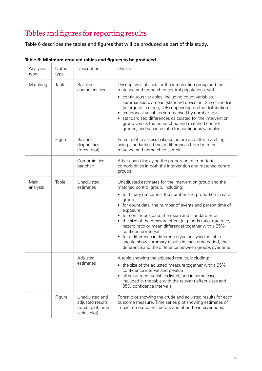# <span id="page-35-0"></span>Tables and figures for reporting results

Table 6 describes the tables and figures that will be produced as part of this study.

| Analysis<br>type | Output<br>type | Description                                                              | Details                                                                                                                                                                                                                                                                                                                                                                                                                                                                                                                                                                                                                           |
|------------------|----------------|--------------------------------------------------------------------------|-----------------------------------------------------------------------------------------------------------------------------------------------------------------------------------------------------------------------------------------------------------------------------------------------------------------------------------------------------------------------------------------------------------------------------------------------------------------------------------------------------------------------------------------------------------------------------------------------------------------------------------|
| Matching         | Table          | <b>Baseline</b><br>characteristics                                       | Descriptive statistics for the intervention group and the<br>matched and unmatched control populations, with:<br>• continuous variables, including count variables,<br>summarised by mean (standard deviation, SD) or median<br>(interquartile range, IQR) depending on the distribution<br>categorical variables summarised by number (%)<br>standardised differences calculated for the intervention<br>group versus the unmatched and matched control<br>groups, and variance ratio for continuous variables                                                                                                                   |
|                  | Figure         | Balance<br>diagnostics<br>(forest plot)                                  | Forest plot to assess balance before and after matching<br>using standardised mean differences from both the<br>matched and unmatched sample                                                                                                                                                                                                                                                                                                                                                                                                                                                                                      |
|                  |                | Comorbidities<br>bar chart                                               | A bar chart displaying the proportion of important<br>comorbidities in both the intervention and matched control<br>groups                                                                                                                                                                                                                                                                                                                                                                                                                                                                                                        |
| Main<br>analysis | Table          | Unadjusted<br>estimates                                                  | Unadjusted estimates for the intervention group and the<br>matched control group, including:<br>• for binary outcomes, the number and proportion in each<br>group<br>• for count data, the number of events and person time of<br>exposure<br>• for continuous data, the mean and standard error<br>• the size of the measure effect (e.g. odds ratio, rate ratio,<br>hazard ratio or mean difference) together with a 95%<br>confidence interval<br>• for a difference in difference type analysis the table<br>should show summary results in each time period, their<br>difference and the difference between groups over time |
|                  |                | Adjusted<br>estimates                                                    | A table showing the adjusted results, including:<br>• the size of the adjusted measure together with a 95%<br>confidence interval and p-value<br>all adjustment variables listed, and in some cases<br>$\bullet$<br>included in the table with the relevant effect sizes and<br>95% confidence intervals                                                                                                                                                                                                                                                                                                                          |
|                  | Figure         | Unadjusted and<br>adjusted results<br>(forest plot, time<br>series plot) | Forest plot showing the crude and adjusted results for each<br>outcome measure. Time series plot showing estimates of<br>impact on outcomes before and after the interventions.                                                                                                                                                                                                                                                                                                                                                                                                                                                   |

#### **Table 6: Minimum required tables and figures to be produced**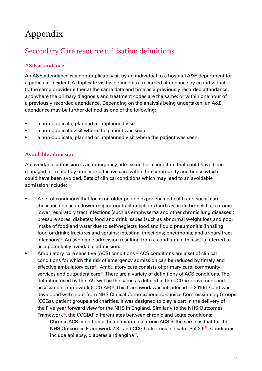# <span id="page-36-0"></span>Appendix

### Secondary Care resource utilisation definitions

#### **A&E attendance**

An A&E attendance is a non-duplicate visit by an individual to a hospital A&E department for a particular incident. A duplicate visit is defined as a recorded attendance by an individual to the same provider either at the same date and time as a previously recorded attendance, and where the primary diagnosis and treatment codes are the same; or within one hour of a previously recorded attendance. Depending on the analysis being undertaken, an A&E attendance may be further defined as one of the following:

- a non-duplicate, planned or unplanned visit
- a non-duplicate visit where the patient was seen
- a non-duplicate, planned or unplanned visit where the patient was seen.

#### **Avoidable admission**

An avoidable admission is an emergency admission for a condition that could have been managed or treated by timely or effective care within the community and hence which could have been avoided. Sets of clinical conditions which may lead to an avoidable admission include:

- A set of conditions that focus on older people experiencing health and social care these include acute lower respiratory tract infections (such as acute bronchitis); chronic lower respiratory tract infections (such as emphysema and other chronic lung diseases); pressure sores; diabetes; food and drink issues (such as abnormal weight loss and poor intake of food and water due to self-neglect); food and liquid pneumonitis (inhaling food or drink); fractures and sprains; intestinal infections; pneumonia; and urinary tract infections<sup>[42](#page-44-4)</sup>. An avoidable admission resulting from a condition in this set is referred to as a potentially avoidable admission.
- Ambulatory care sensitive (ACS) conditions ACS conditions are a set of clinical conditions for which the risk of emergency admission can be reduced by timely and effective ambulatory care<sup>[43](#page-44-5)</sup>. Ambulatory care consists of primary care, community services and outpatient care<sup>[44](#page-44-6)</sup>. There are a variety of definitions of ACS conditions. The definition used by the IAU will be the same as defined in the CCG improvement and assessment framework (CCGIAF)[45](#page-44-7). This framework was introduced in 2016/17 and was developed with input from NHS Clinical Commissioners, Clinical Commissioning Groups (CCGs), patient groups and charities. It was designed to play a part in the delivery of the Five year forward view for the NHS in England. Similarly to the NHS Outcomes Framework $46$ , the CCGIAF differentiates between chronic and acute conditions:
	- Chronic ACS conditions: the definition of chronic ACS is the same as that for the NHS Outcomes Framework 2.3.i and CCG Outcomes Indicator Set 2.6<sup>[45](#page-44-7)</sup>. Conditions include epilepsy, diabetes and angina $47$ .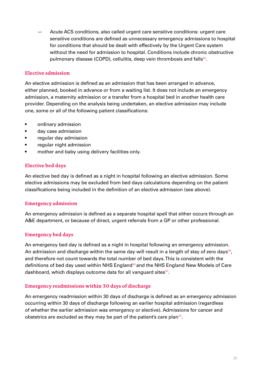<span id="page-37-0"></span>— Acute ACS conditions, also called urgent care sensitive conditions: urgent care sensitive conditions are defined as unnecessary emergency admissions to hospital for conditions that should be dealt with effectively by the Urgent Care system without the need for admission to hospital. Conditions include chronic obstructive pulmonary disease (COPD), cellulitis, deep vein thrombosis and falls<sup>[45](#page-44-7)</sup>.

#### **Elective admission**

An elective admission is defined as an admission that has been arranged in advance, either planned, booked in advance or from a waiting list. It does not include an emergency admission, a maternity admission or a transfer from a hospital bed in another health care provider. Depending on the analysis being undertaken, an elective admission may include one, some or all of the following patient classifications:

- ordinary admission
- day case admission
- regular day admission
- regular night admission
- mother and baby using delivery facilities only.

#### **Elective bed days**

An elective bed day is defined as a night in hospital following an elective admission. Some elective admissions may be excluded from bed days calculations depending on the patient classifications being included in the definition of an elective admission (see above).

#### **Emergency admission**

An emergency admission is defined as a separate hospital spell that either occurs through an A&E department, or because of direct, urgent referrals from a GP or other professional.

#### **Emergency bed days**

An emergency bed day is defined as a night in hospital following an emergency admission. An admission and discharge within the same day will result in a length of stay of zero days<sup>[48](#page-44-10)</sup>, and therefore not count towards the total number of bed days. This is consistent with the definitions of bed day used within NHS England<sup>[49](#page-44-11)</sup> and the NHS England New Models of Care dashboard, which displays outcome data for all vanguard sites $50$ .

#### **Emergency readmissions within 30 days of discharge**

An emergency readmission within 30 days of discharge is defined as an emergency admission occurring within 30 days of discharge following an earlier hospital admission (regardless of whether the earlier admission was emergency or elective). Admissions for cancer and obstetrics are excluded as they may be part of the patient's care plan<sup>[45](#page-44-7)</sup>.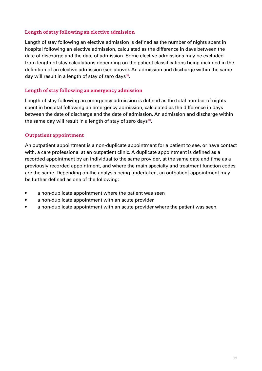#### <span id="page-38-0"></span>**Length of stay following an elective admission**

Length of stay following an elective admission is defined as the number of nights spent in hospital following an elective admission, calculated as the difference in days between the date of discharge and the date of admission. Some elective admissions may be excluded from length of stay calculations depending on the patient classifications being included in the definition of an elective admission (see above). An admission and discharge within the same day will result in a length of stay of zero days $48$ .

#### **Length of stay following an emergency admission**

Length of stay following an emergency admission is defined as the total number of nights spent in hospital following an emergency admission, calculated as the difference in days between the date of discharge and the date of admission. An admission and discharge within the same day will result in a length of stay of zero days $48$ .

#### **Outpatient appointment**

An outpatient appointment is a non-duplicate appointment for a patient to see, or have contact with, a care professional at an outpatient clinic. A duplicate appointment is defined as a recorded appointment by an individual to the same provider, at the same date and time as a previously recorded appointment, and where the main specialty and treatment function codes are the same. Depending on the analysis being undertaken, an outpatient appointment may be further defined as one of the following:

- a non-duplicate appointment where the patient was seen
- a non-duplicate appointment with an acute provider
- a non-duplicate appointment with an acute provider where the patient was seen.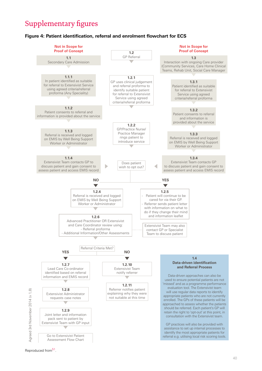### <span id="page-39-0"></span>Supplementary figures

#### **Figure 4: Patient identification, referral and enrolment flowchart for ECS**



Reproduced from<sup>51</sup>.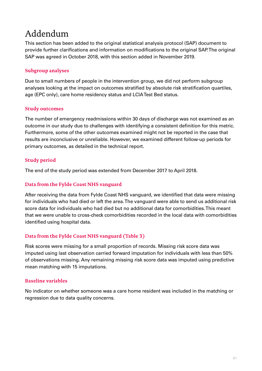# <span id="page-40-0"></span>Addendum

This section has been added to the original statistical analysis protocol (SAP) document to provide further clarifications and information on modifications to the original SAP. The original SAP was agreed in October 2018, with this section added in November 2019.

#### **Subgroup analyses**

Due to small numbers of people in the intervention group, we did not perform subgroup analyses looking at the impact on outcomes stratified by absolute risk stratification quartiles, age (EPC only), care home residency status and LCIA Test Bed status.

#### **Study outcomes**

The number of emergency readmissions within 30 days of discharge was not examined as an outcome in our study due to challenges with identifying a consistent definition for this metric. Furthermore, some of the other outcomes examined might not be reported in the case that results are inconclusive or unreliable. However, we examined different follow-up periods for primary outcomes, as detailed in the technical report.

#### **Study period**

The end of the study period was extended from December 2017 to April 2018.

#### **Data from the Fylde Coast NHS vanguard**

After receiving the data from Fylde Coast NHS vanguard, we identified that data were missing for individuals who had died or left the area. The vanguard were able to send us additional risk score data for individuals who had died but no additional data for comorbidities. This meant that we were unable to cross-check comorbidities recorded in the local data with comorbidities identified using hospital data.

#### **Data from the Fylde Coast NHS vanguard (Table 3)**

Risk scores were missing for a small proportion of records. Missing risk score data was imputed using last observation carried forward imputation for individuals with less than 50% of observations missing. Any remaining missing risk score data was imputed using predictive mean matching with 15 imputations.

#### **Baseline variables**

No indicator on whether someone was a care home resident was included in the matching or regression due to data quality concerns.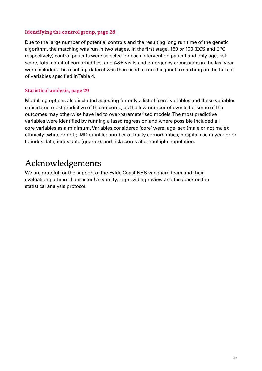#### <span id="page-41-0"></span>**Identifying the control group, page 28**

Due to the large number of potential controls and the resulting long run time of the genetic algorithm, the matching was run in two stages. In the first stage, 150 or 100 (ECS and EPC respectively) control patients were selected for each intervention patient and only age, risk score, total count of comorbidities, and A&E visits and emergency admissions in the last year were included. The resulting dataset was then used to run the genetic matching on the full set of variables specified in Table 4.

#### **Statistical analysis, page 29**

Modelling options also included adjusting for only a list of 'core' variables and those variables considered most predictive of the outcome, as the low number of events for some of the outcomes may otherwise have led to over-parameterised models. The most predictive variables were identified by running a lasso regression and where possible included all core variables as a minimum. Variables considered 'core' were: age; sex (male or not male); ethnicity (white or not); IMD quintile; number of frailty comorbidities; hospital use in year prior to index date; index date (quarter); and risk scores after multiple imputation.

# Acknowledgements

We are grateful for the support of the Fylde Coast NHS vanguard team and their evaluation partners, Lancaster University, in providing review and feedback on the statistical analysis protocol.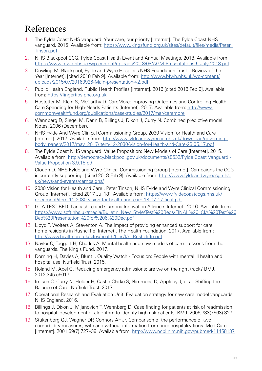# <span id="page-42-0"></span>References

- <span id="page-42-1"></span>1. The Fylde Coast NHS vanguard. Your care, our priority [Internet]. The Fylde Coast NHS vanguard. 2015. Available from: [https://www.kingsfund.org.uk/sites/default/files/media/Peter\\_](https://www.kingsfund.org.uk/sites/default/files/media/Peter_Tinson.pdf) [Tinson.pdf](https://www.kingsfund.org.uk/sites/default/files/media/Peter_Tinson.pdf)
- <span id="page-42-2"></span>2. NHS Blackpool CCG. Fylde Coast Health Event and Annual Meetings. 2018. Available from: <https://www.bfwh.nhs.uk/wp-content/uploads/2018/08/AGM-Presentations-5-July-2018.pdf>
- <span id="page-42-3"></span>3. Dowling M. Blackpool, Fylde and Wyre Hospitals NHS Foundation Trust – Review of the Year [Internet]. [cited 2018 Feb 9]. Available from: [http://www.bfwh.nhs.uk/wp-content/](http://www.bfwh.nhs.uk/wp-content/uploads/2015/07/20160926-Main-presentation-v2.pdf) [uploads/2015/07/20160926-Main-presentation-v2.pdf](http://www.bfwh.nhs.uk/wp-content/uploads/2015/07/20160926-Main-presentation-v2.pdf)
- <span id="page-42-4"></span>4. Public Health England. Public Health Profiles [Internet]. 2016 [cited 2018 Feb 9]. Available from: <https://fingertips.phe.org.uk>
- <span id="page-42-5"></span>5. Hostetter M, Klein S, McCarthy D. CareMore: Improving Outcomes and Controlling Health Care Spending for High-Needs Patients [Internet]. 2017. Available from: [http://www.](http://www.commonwealthfund.org/publications/case-studies/2017/mar/caremore) [commonwealthfund.org/publications/case-studies/2017/mar/caremore](http://www.commonwealthfund.org/publications/case-studies/2017/mar/caremore)
- <span id="page-42-6"></span>6. Wennberg D, Siegel M, Darin B, Billings J, Dixon J, Curry N. Combined predictive model. Notes. 2006 (December).
- <span id="page-42-7"></span>7. NHS Fylde And Wyre Clinical Commissioning Group. 2030 Vision for Health and Care [Internet]. 2017. Available from: [http://www.fyldeandwyreccg.nhs.uk/download/governing\\_](http://www.fyldeandwyreccg.nhs.uk/download/governing_body_papers/2017/may_2017/Item-12-2030-Vision-for-Health-and-Care-23.05.17.pdf) [body\\_papers/2017/may\\_2017/Item-12-2030-Vision-for-Health-and-Care-23.05.17.pdf](http://www.fyldeandwyreccg.nhs.uk/download/governing_body_papers/2017/may_2017/Item-12-2030-Vision-for-Health-and-Care-23.05.17.pdf)
- <span id="page-42-8"></span>8. The Fylde Coast NHS vanguard. Value Proposition: New Models of Care [Internet]. 2015. Available from: [http://democracy.blackpool.gov.uk/documents/s8532/Fylde Coast Vanguard -](http://democracy.blackpool.gov.uk/documents/s8532/Fylde%20Coast%20Vanguard%20-%20Value%20Propostion%203.9.15.pdf)  [Value Propostion 3.9.15.pdf](http://democracy.blackpool.gov.uk/documents/s8532/Fylde%20Coast%20Vanguard%20-%20Value%20Propostion%203.9.15.pdf)
- <span id="page-42-9"></span>9. Clough D. NHS Fylde and Wyre Clinical Commissioning Group [Internet]. Campaigns the CCG is currently supporting. [cited 2018 Feb 9]. Available from: [http://www.fyldeandwyreccg.nhs.](http://www.fyldeandwyreccg.nhs.uk/news-and-events/campaigns/) [uk/news-and-events/campaigns/](http://www.fyldeandwyreccg.nhs.uk/news-and-events/campaigns/)
- <span id="page-42-10"></span>10. 2030 Vision for Health and Care , Peter Tinson, NHS Fylde and Wyre Clinical Commissioning Group [Internet]. [cited 2017 Jul 18]. Available from: [https://www.fyldecoastccgs.nhs.uk/](https://www.fyldecoastccgs.nhs.uk/document/item-11-2030-vision-for-health-and-care-18-07-17-final-pdf) [document/item-11-2030-vision-for-health-and-care-18-07-17-final-pdf](https://www.fyldecoastccgs.nhs.uk/document/item-11-2030-vision-for-health-and-care-18-07-17-final-pdf)
- <span id="page-42-11"></span>11. LCIA TEST BED. Lancashire and Cumbria Innovation Alliance [Internet]. 2016. Available from: [https://www.lscft.nhs.uk/media/Bulletin\\_New\\_Style/Test%20Beds/FINAL%20LCIA%20Test%20](https://www.lscft.nhs.uk/media/Bulletin_New_Style/Test%20Beds/FINAL%20LCIA%20Test%20Bed%20Presentation%20for%206%20Dec.pdf) [Bed%20Presentation%20for%206%20Dec.pdf](https://www.lscft.nhs.uk/media/Bulletin_New_Style/Test%20Beds/FINAL%20LCIA%20Test%20Bed%20Presentation%20for%206%20Dec.pdf)
- <span id="page-42-12"></span>12. Lloyd T, Wolters A, Steventon A. The impact of providing enhanced support for care home residents in Rushcliffe [Internet]. The Health Foundation. 2017. Available from: [http://www.health.org.uk/sites/health/files/IAURushcliffe.pdf](http://Data from the Fylde Coast NHS vanguard, page 24 (Table 3)")
- <span id="page-42-13"></span>13. Naylor C, Taggart H, Charles A. Mental health and new models of care: Lessons from the vanguards. The King's Fund. 2017.
- <span id="page-42-14"></span>14. Dorning H, Davies A, Blunt I. Quality Watch - Focus on: People with mental ill health and hospital use. Nuffield Trust. 2015.
- <span id="page-42-15"></span>15. Roland M, Abel G. Reducing emergency admissions: are we on the right track? BMJ. 2012;345:e6017.
- <span id="page-42-16"></span>16. Imison C, Curry N, Holder H, Castle-Clarke S, Nimmons D, Appleby J, et al. Shifting the Balance of Care. Nuffield Trust. 2017.
- <span id="page-42-17"></span>17. Operational Research and Evaluation Unit. Evaluation strategy for new care model vanguards. NHS England. 2016.
- <span id="page-42-18"></span>18. Billings J, Dixon J, Mijanovich T, Wennberg D. Case finding for patients at risk of readmission to hospital: development of algorithm to identify high risk patients. BMJ. 2006;333(7563):327.
- <span id="page-42-19"></span>19. Stukenborg GJ, Wagner DP, Connors AF Jr. Comparison of the performance of two comorbidity measures, with and without information from prior hospitalizations. Med Care [Internet]. 2001;39(7):727–39. Available from: <http://www.ncbi.nlm.nih.gov/pubmed/11458137>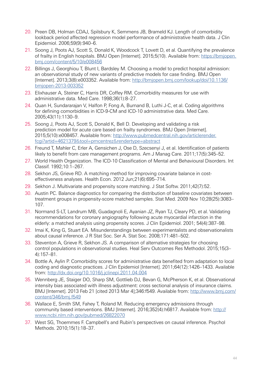- <span id="page-43-0"></span>20. Preen DB, Holman CDAJ, Spilsbury K, Semmens JB, Brameld KJ. Length of comorbidity lookback period affected regression model performance of administrative health data. J Clin Epidemiol. 2006;59(9):940–6.
- <span id="page-43-1"></span>21. Soong J, Poots AJ, Scott S, Donald K, Woodcock T, Lovett D, et al. Quantifying the prevalence of frailty in English hospitals. BMJ Open [Internet]. 2015;5(10). Available from: [https://bmjopen.](https://bmjopen.bmj.com/content/5/10/e008456) [bmj.com/content/5/10/e008456](https://bmjopen.bmj.com/content/5/10/e008456)
- <span id="page-43-2"></span>22. Billings J, Georghiou T, Blunt I, Bardsley M. Choosing a model to predict hospital admission: an observational study of new variants of predictive models for case finding. BMJ Open [Internet]. 2013;3(8):e003352. Available from: [http://bmjopen.bmj.com/lookup/doi/10.1136/](https://www.england.nhs.uk/commissioning/wp-content/uploads/sites/12/2017/07/ccgiaf-tech-annex-1617.pdf) [bmjopen-2013-003352](https://www.england.nhs.uk/commissioning/wp-content/uploads/sites/12/2017/07/ccgiaf-tech-annex-1617.pdf)
- <span id="page-43-3"></span>23. Elixhauser A, Steiner C, Harris DR, Coffey RM. Comorbidity measures for use with administrative data. Med Care. 1998;36(1):8–27.
- <span id="page-43-4"></span>24. Quan H, Sundararajan V, Halfon P, Fong A, Burnand B, Luthi J-C, et al. Coding algorithms for defining comorbidities in ICD-9-CM and ICD-10 administrative data. Med Care. 2005;43(11):1130–9.
- <span id="page-43-5"></span>25. Soong J, Poots AJ, Scott S, Donald K, Bell D. Developing and validating a risk prediction model for acute care based on frailty syndromes. BMJ Open [Internet]. 2015;5(10):e008457. Available from: [http://www.pubmedcentral.nih.gov/articlerender.](http://www.pubmedcentral.nih.gov/articlerender.fcgi?artid=4621379&tool=pmcentrez&rendertype=abstract) fcgi?artid=4621379&tool=pmcentrez&[rendertype=abstract](http://www.pubmedcentral.nih.gov/articlerender.fcgi?artid=4621379&tool=pmcentrez&rendertype=abstract)
- <span id="page-43-6"></span>26. Freund T, Mahler C, Erler A, Gensichen J, Ose D, Szecsenyi J, et al. Identification of patients likely to benefit from care management programs. Am J Manag Care. 2011;17(5):345–52.
- <span id="page-43-7"></span>27. World Health Organization. The ICD-10 Classification of Mental and Behavioural Disorders. Int Classif. 1992;10:1–267.
- <span id="page-43-8"></span>28. Sekhon JS, Grieve RD. A matching method for improving covariate balance in costeffectiveness analyses. Health Econ. 2012 Jun;21(6):695–714.
- <span id="page-43-9"></span>29. Sekhon J. Multivariate and propensity score matching. J Stat Softw. 2011;42(7):52.
- <span id="page-43-11"></span>30. Austin PC. Balance diagnostics for comparing the distribution of baseline covariates between treatment groups in propensity-score matched samples. Stat Med. 2009 Nov 10;28(25):3083– 107.
- <span id="page-43-12"></span>31. Normand S-LT, Landrum MB, Guadagnoli E, Ayanian JZ, Ryan TJ, Cleary PD, et al. Validating recommendations for coronary angiography following acute myocardial infarction in the elderly: a matched analysis using propensity scores. J Clin Epidemiol. 2001; 54(4):387–98.
- <span id="page-43-10"></span>32. Imai K, King G, Stuart EA. Misunderstandings between experimentalists and observationalists about causal inference. J R Stat Soc. Ser A. Stat Soc. 2008;171:481–502.
- <span id="page-43-13"></span>33. Steventon A, Grieve R, Sekhon JS. A comparison of alternative strategies for choosing control populations in observational studies. Heal Serv Outcomes Res Methodol. 2015;15(3– 4):157–81.
- <span id="page-43-14"></span>34. Bottle A, Aylin P. Comorbidity scores for administrative data benefited from adaptation to local coding and diagnostic practices. J Clin Epidemiol [Internet]. 2011;64(12):1426–1433. Available from: <http://dx.doi.org/10.1016/j.jclinepi.2011.04.004>
- <span id="page-43-15"></span>35. Wennberg JE, Staiger DO, Sharp SM, Gottlieb DJ, Bevan G, McPherson K, et al. Observational intensity bias associated with illness adjustment: cross sectional analysis of insurance claims. BMJ [Internet]. 2013 Feb 21 [cited 2013 Mar 4];346:f549. Available from: [http://www.bmj.com/](http://www.bmj.com/content/346/bmj.f549) [content/346/bmj.f549](http://www.bmj.com/content/346/bmj.f549)
- <span id="page-43-16"></span>36. Wallace E, Smith SM, Fahey T, Roland M. Reducing emergency admissions through community based interventions. BMJ [Internet]. 2016;352(4):h6817. Available from: [http://](http://www.ncbi.nlm.nih.gov/pubmed/26822070) [www.ncbi.nlm.nih.gov/pubmed/26822070](http://www.ncbi.nlm.nih.gov/pubmed/26822070)
- <span id="page-43-17"></span>37. West SG, Thoemmes F. Campbell's and Rubin's perspectives on causal inference. Psychol Methods. 2010;15(1):18–37.